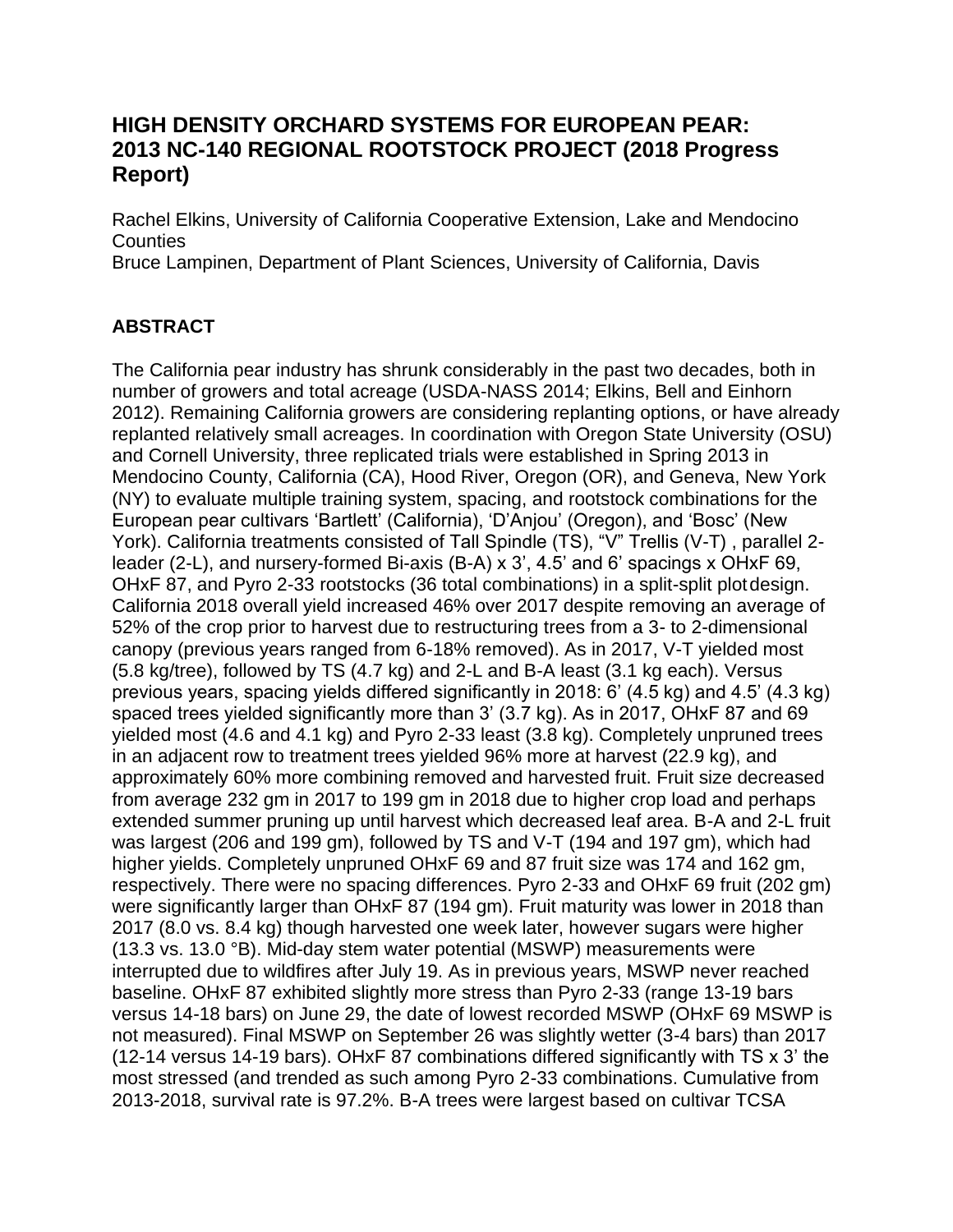# **HIGH DENSITY ORCHARD SYSTEMS FOR EUROPEAN PEAR: 2013 NC-140 REGIONAL ROOTSTOCK PROJECT (2018 Progress Report)**

Rachel Elkins, University of California Cooperative Extension, Lake and Mendocino **Counties** 

Bruce Lampinen, Department of Plant Sciences, University of California, Davis

## **ABSTRACT**

The California pear industry has shrunk considerably in the past two decades, both in number of growers and total acreage (USDA-NASS 2014; Elkins, Bell and Einhorn 2012). Remaining California growers are considering replanting options, or have already replanted relatively small acreages. In coordination with Oregon State University (OSU) and Cornell University, three replicated trials were established in Spring 2013 in Mendocino County, California (CA), Hood River, Oregon (OR), and Geneva, New York (NY) to evaluate multiple training system, spacing, and rootstock combinations for the European pear cultivars 'Bartlett' (California), 'D'Anjou' (Oregon), and 'Bosc' (New York). California treatments consisted of Tall Spindle (TS), "V" Trellis (V-T), parallel 2leader (2-L), and nursery-formed Bi-axis (B-A) x 3', 4.5' and 6' spacings x OHxF 69, OHxF 87, and Pyro 2-33 rootstocks (36 total combinations) in a split-split plotdesign. California 2018 overall yield increased 46% over 2017 despite removing an average of 52% of the crop prior to harvest due to restructuring trees from a 3- to 2-dimensional canopy (previous years ranged from 6-18% removed). As in 2017, V-T yielded most (5.8 kg/tree), followed by TS (4.7 kg) and 2-L and B-A least (3.1 kg each). Versus previous years, spacing yields differed significantly in 2018: 6' (4.5 kg) and 4.5' (4.3 kg) spaced trees yielded significantly more than 3' (3.7 kg). As in 2017, OHxF 87 and 69 yielded most (4.6 and 4.1 kg) and Pyro 2-33 least (3.8 kg). Completely unpruned trees in an adjacent row to treatment trees yielded 96% more at harvest (22.9 kg), and approximately 60% more combining removed and harvested fruit. Fruit size decreased from average 232 gm in 2017 to 199 gm in 2018 due to higher crop load and perhaps extended summer pruning up until harvest which decreased leaf area. B-A and 2-L fruit was largest (206 and 199 gm), followed by TS and V-T (194 and 197 gm), which had higher yields. Completely unpruned OHxF 69 and 87 fruit size was 174 and 162 gm, respectively. There were no spacing differences. Pyro 2-33 and OHxF 69 fruit (202 gm) were significantly larger than OHxF 87 (194 gm). Fruit maturity was lower in 2018 than 2017 (8.0 vs. 8.4 kg) though harvested one week later, however sugars were higher (13.3 vs. 13.0 °B). Mid-day stem water potential (MSWP) measurements were interrupted due to wildfires after July 19. As in previous years, MSWP never reached baseline. OHxF 87 exhibited slightly more stress than Pyro 2-33 (range 13-19 bars versus 14-18 bars) on June 29, the date of lowest recorded MSWP (OHxF 69 MSWP is not measured). Final MSWP on September 26 was slightly wetter (3-4 bars) than 2017 (12-14 versus 14-19 bars). OHxF 87 combinations differed significantly with TS x 3' the most stressed (and trended as such among Pyro 2-33 combinations. Cumulative from 2013-2018, survival rate is 97.2%. B-A trees were largest based on cultivar TCSA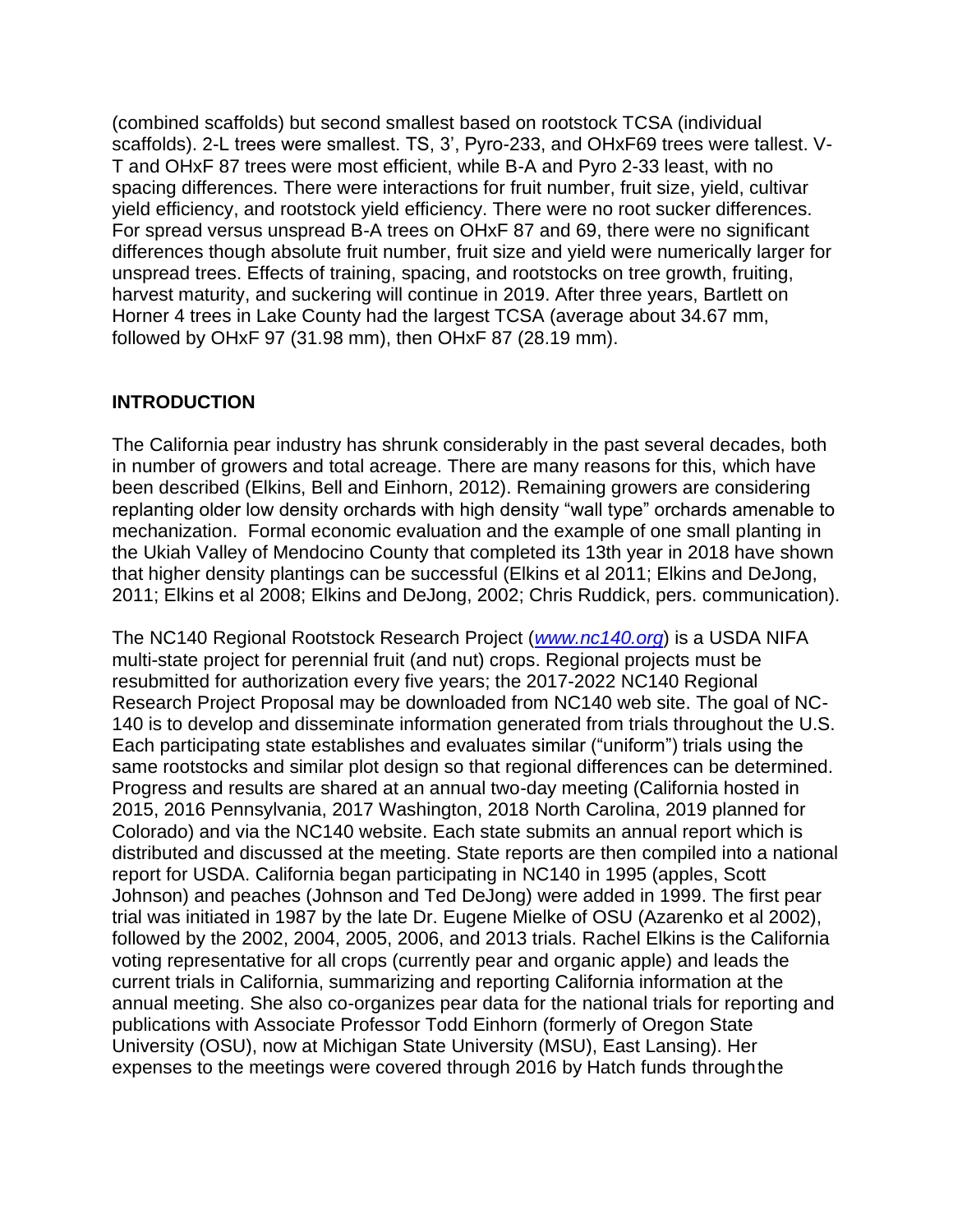(combined scaffolds) but second smallest based on rootstock TCSA (individual scaffolds). 2-L trees were smallest. TS, 3', Pyro-233, and OHxF69 trees were tallest. V-T and OHxF 87 trees were most efficient, while B-A and Pyro 2-33 least, with no spacing differences. There were interactions for fruit number, fruit size, yield, cultivar yield efficiency, and rootstock yield efficiency. There were no root sucker differences. For spread versus unspread B-A trees on OHxF 87 and 69, there were no significant differences though absolute fruit number, fruit size and yield were numerically larger for unspread trees. Effects of training, spacing, and rootstocks on tree growth, fruiting, harvest maturity, and suckering will continue in 2019. After three years, Bartlett on Horner 4 trees in Lake County had the largest TCSA (average about 34.67 mm, followed by OHxF 97 (31.98 mm), then OHxF 87 (28.19 mm).

## **INTRODUCTION**

The California pear industry has shrunk considerably in the past several decades, both in number of growers and total acreage. There are many reasons for this, which have been described (Elkins, Bell and Einhorn, 2012). Remaining growers are considering replanting older low density orchards with high density "wall type" orchards amenable to mechanization. Formal economic evaluation and the example of one small planting in the Ukiah Valley of Mendocino County that completed its 13th year in 2018 have shown that higher density plantings can be successful (Elkins et al 2011; Elkins and DeJong, 2011; Elkins et al 2008; Elkins and DeJong, 2002; Chris Ruddick, pers. communication).

The NC140 Regional Rootstock Research Project (*[www.nc140.org](http://www.nc140.org/)*) is a USDA NIFA multi-state project for perennial fruit (and nut) crops. Regional projects must be resubmitted for authorization every five years; the 2017-2022 NC140 Regional Research Project Proposal may be downloaded from NC140 web site. The goal of NC-140 is to develop and disseminate information generated from trials throughout the U.S. Each participating state establishes and evaluates similar ("uniform") trials using the same rootstocks and similar plot design so that regional differences can be determined. Progress and results are shared at an annual two-day meeting (California hosted in 2015, 2016 Pennsylvania, 2017 Washington, 2018 North Carolina, 2019 planned for Colorado) and via the NC140 website. Each state submits an annual report which is distributed and discussed at the meeting. State reports are then compiled into a national report for USDA. California began participating in NC140 in 1995 (apples, Scott Johnson) and peaches (Johnson and Ted DeJong) were added in 1999. The first pear trial was initiated in 1987 by the late Dr. Eugene Mielke of OSU (Azarenko et al 2002), followed by the 2002, 2004, 2005, 2006, and 2013 trials. Rachel Elkins is the California voting representative for all crops (currently pear and organic apple) and leads the current trials in California, summarizing and reporting California information at the annual meeting. She also co-organizes pear data for the national trials for reporting and publications with Associate Professor Todd Einhorn (formerly of Oregon State University (OSU), now at Michigan State University (MSU), East Lansing). Her expenses to the meetings were covered through 2016 by Hatch funds throughthe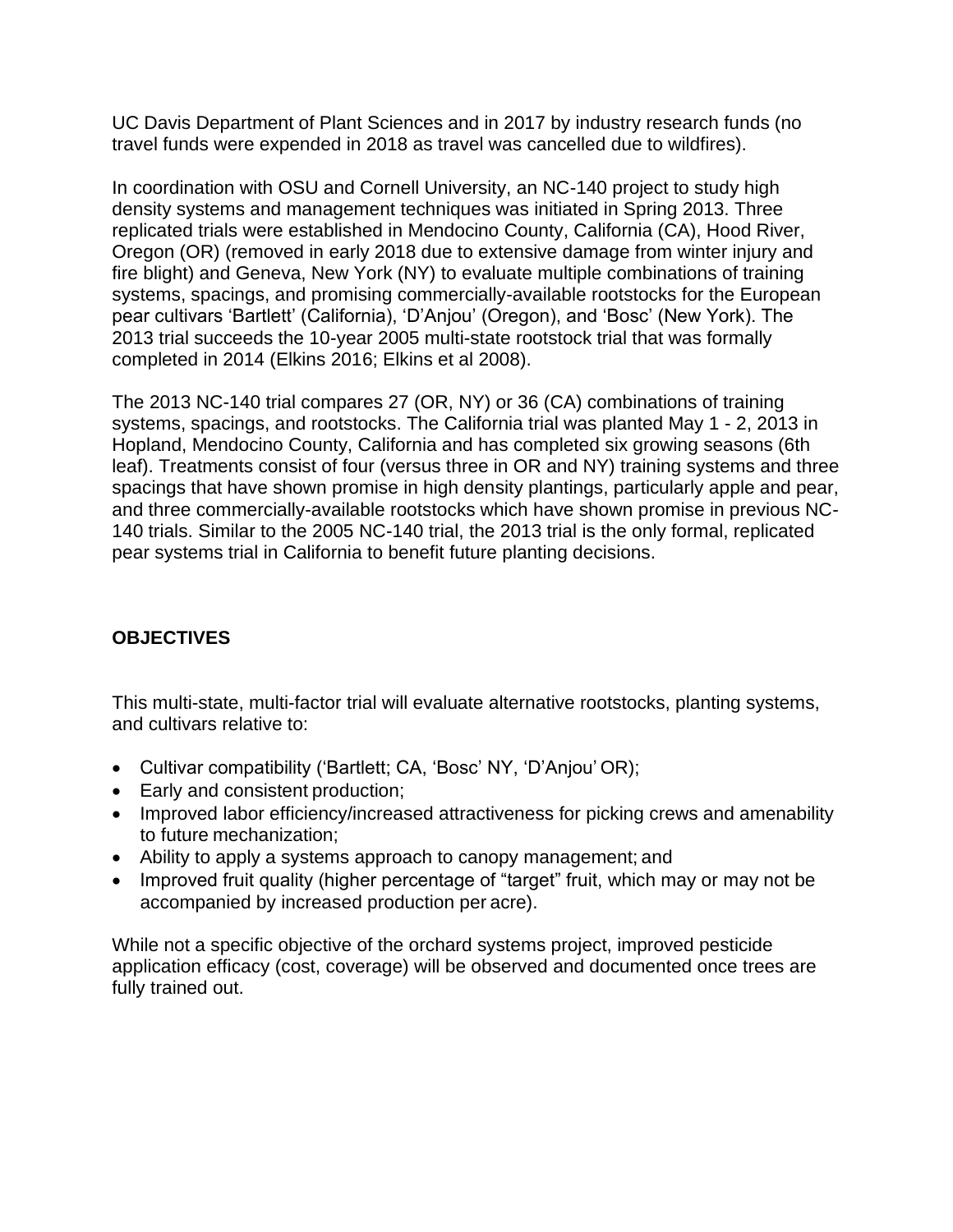UC Davis Department of Plant Sciences and in 2017 by industry research funds (no travel funds were expended in 2018 as travel was cancelled due to wildfires).

In coordination with OSU and Cornell University, an NC-140 project to study high density systems and management techniques was initiated in Spring 2013. Three replicated trials were established in Mendocino County, California (CA), Hood River, Oregon (OR) (removed in early 2018 due to extensive damage from winter injury and fire blight) and Geneva, New York (NY) to evaluate multiple combinations of training systems, spacings, and promising commercially-available rootstocks for the European pear cultivars 'Bartlett' (California), 'D'Anjou' (Oregon), and 'Bosc' (New York). The 2013 trial succeeds the 10-year 2005 multi-state rootstock trial that was formally completed in 2014 (Elkins 2016; Elkins et al 2008).

The 2013 NC-140 trial compares 27 (OR, NY) or 36 (CA) combinations of training systems, spacings, and rootstocks. The California trial was planted May 1 - 2, 2013 in Hopland, Mendocino County, California and has completed six growing seasons (6th leaf). Treatments consist of four (versus three in OR and NY) training systems and three spacings that have shown promise in high density plantings, particularly apple and pear, and three commercially-available rootstocks which have shown promise in previous NC-140 trials. Similar to the 2005 NC-140 trial, the 2013 trial is the only formal, replicated pear systems trial in California to benefit future planting decisions.

## **OBJECTIVES**

This multi-state, multi-factor trial will evaluate alternative rootstocks, planting systems, and cultivars relative to:

- Cultivar compatibility ('Bartlett; CA, 'Bosc' NY, 'D'Anjou' OR);
- Early and consistent production;
- Improved labor efficiency/increased attractiveness for picking crews and amenability to future mechanization;
- Ability to apply a systems approach to canopy management; and
- Improved fruit quality (higher percentage of "target" fruit, which may or may not be accompanied by increased production per acre).

While not a specific objective of the orchard systems project, improved pesticide application efficacy (cost, coverage) will be observed and documented once trees are fully trained out.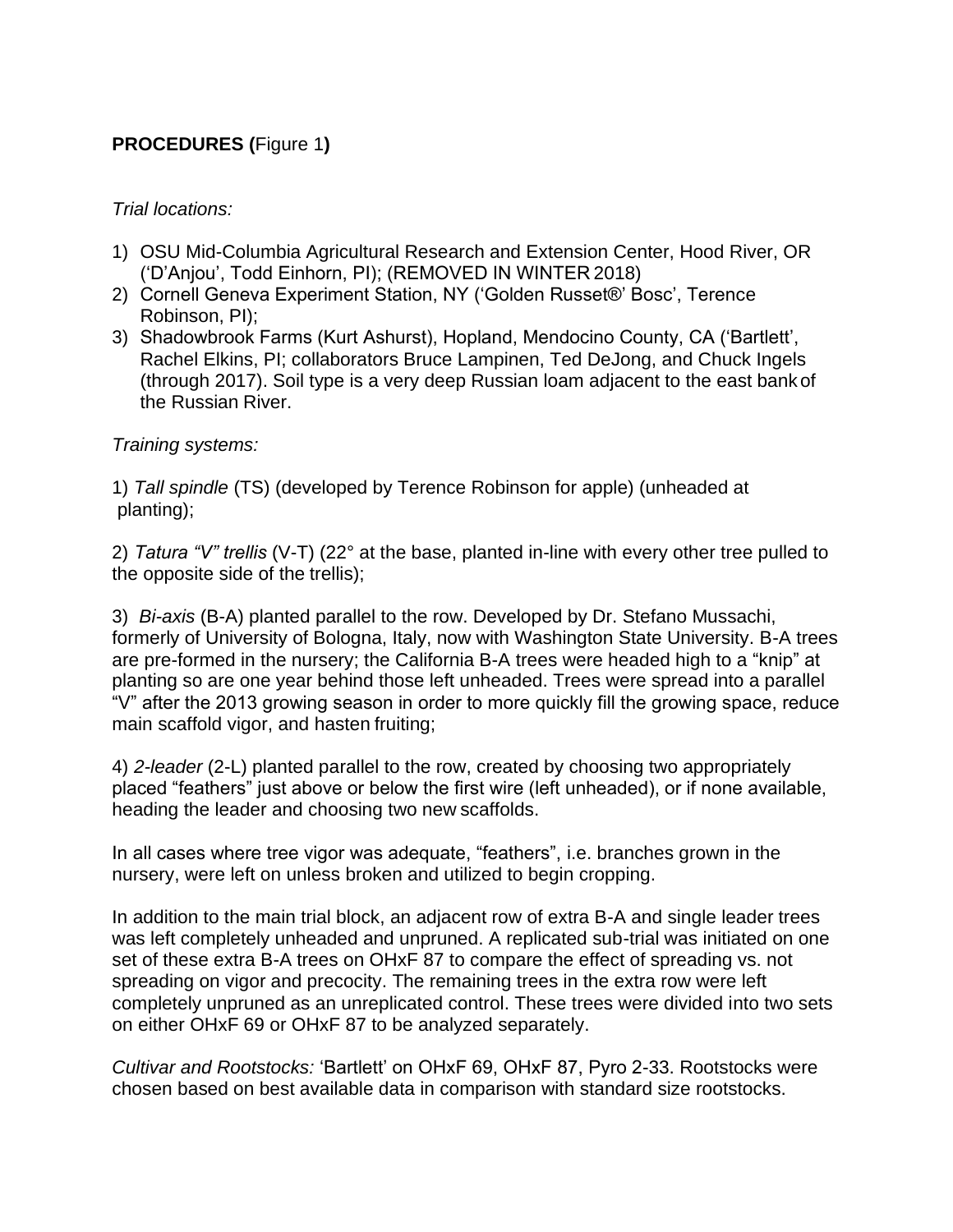## **PROCEDURES (**Figure 1**)**

### *Trial locations:*

- 1) OSU Mid-Columbia Agricultural Research and Extension Center, Hood River, OR ('D'Anjou', Todd Einhorn, PI); (REMOVED IN WINTER 2018)
- 2) Cornell Geneva Experiment Station, NY ('Golden Russet®' Bosc', Terence Robinson, PI);
- 3) Shadowbrook Farms (Kurt Ashurst), Hopland, Mendocino County, CA ('Bartlett', Rachel Elkins, PI; collaborators Bruce Lampinen, Ted DeJong, and Chuck Ingels (through 2017). Soil type is a very deep Russian loam adjacent to the east bankof the Russian River.

#### *Training systems:*

1) *Tall spindle* (TS) (developed by Terence Robinson for apple) (unheaded at planting);

2) *Tatura "V" trellis* (V-T) (22° at the base, planted in-line with every other tree pulled to the opposite side of the trellis);

3) *Bi-axis* (B-A) planted parallel to the row. Developed by Dr. Stefano Mussachi, formerly of University of Bologna, Italy, now with Washington State University. B-A trees are pre-formed in the nursery; the California B-A trees were headed high to a "knip" at planting so are one year behind those left unheaded. Trees were spread into a parallel "V" after the 2013 growing season in order to more quickly fill the growing space, reduce main scaffold vigor, and hasten fruiting;

4) *2-leader* (2-L) planted parallel to the row, created by choosing two appropriately placed "feathers" just above or below the first wire (left unheaded), or if none available, heading the leader and choosing two new scaffolds.

In all cases where tree vigor was adequate, "feathers", i.e. branches grown in the nursery, were left on unless broken and utilized to begin cropping.

In addition to the main trial block, an adjacent row of extra B-A and single leader trees was left completely unheaded and unpruned. A replicated sub-trial was initiated on one set of these extra B-A trees on OHxF 87 to compare the effect of spreading vs. not spreading on vigor and precocity. The remaining trees in the extra row were left completely unpruned as an unreplicated control. These trees were divided into two sets on either OHxF 69 or OHxF 87 to be analyzed separately.

*Cultivar and Rootstocks:* 'Bartlett' on OHxF 69, OHxF 87, Pyro 2-33. Rootstocks were chosen based on best available data in comparison with standard size rootstocks.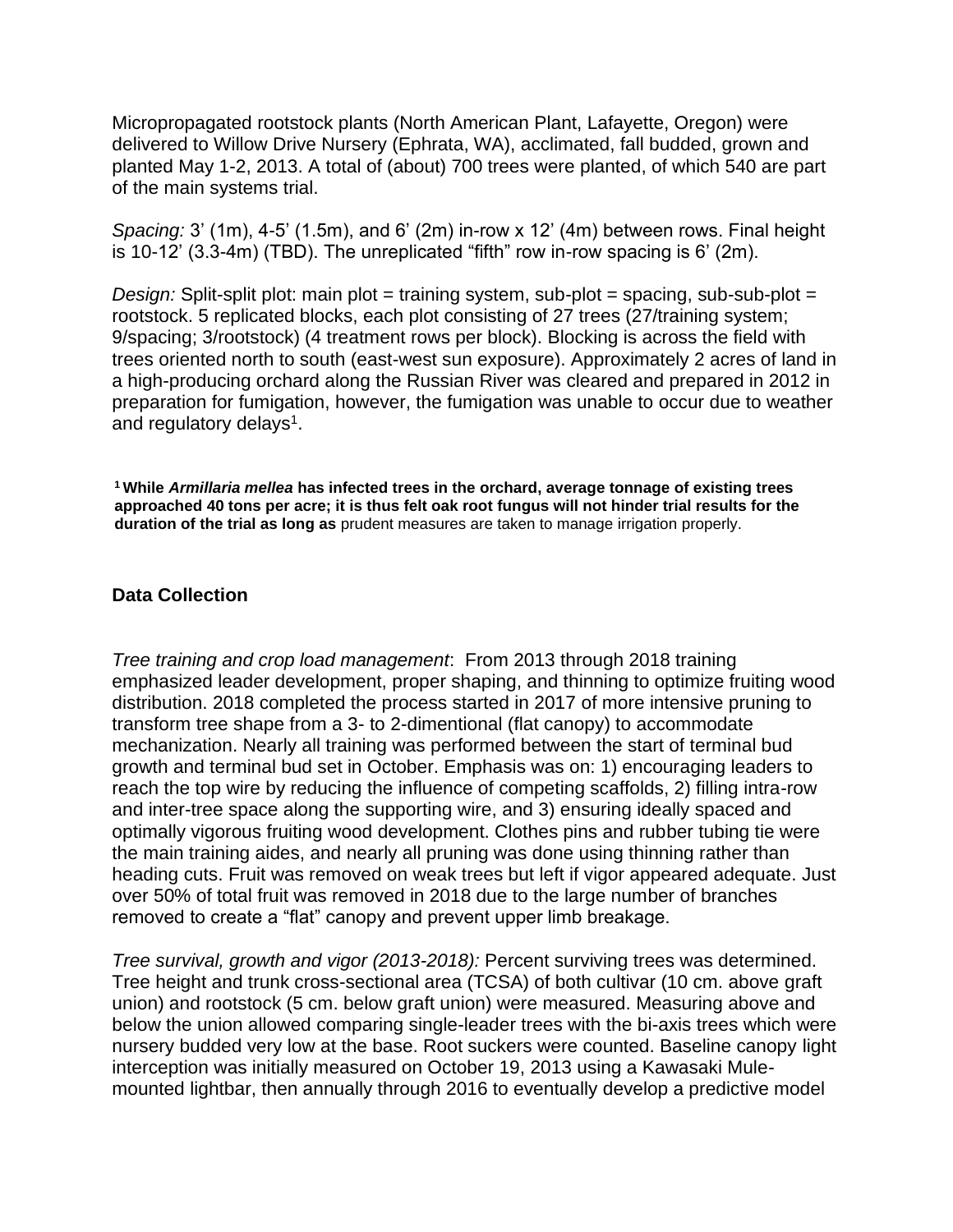Micropropagated rootstock plants (North American Plant, Lafayette, Oregon) were delivered to Willow Drive Nursery (Ephrata, WA), acclimated, fall budded, grown and planted May 1-2, 2013. A total of (about) 700 trees were planted, of which 540 are part of the main systems trial.

*Spacing:* 3' (1m), 4-5' (1.5m), and 6' (2m) in-row x 12' (4m) between rows. Final height is 10-12' (3.3-4m) (TBD). The unreplicated "fifth" row in-row spacing is 6' (2m).

*Design:* Split-split plot: main plot = training system, sub-plot = spacing, sub-sub-plot = rootstock. 5 replicated blocks, each plot consisting of 27 trees (27/training system; 9/spacing; 3/rootstock) (4 treatment rows per block). Blocking is across the field with trees oriented north to south (east-west sun exposure). Approximately 2 acres of land in a high-producing orchard along the Russian River was cleared and prepared in 2012 in preparation for fumigation, however, the fumigation was unable to occur due to weather and regulatory delays<sup>1</sup>.

**<sup>1</sup>While** *Armillaria mellea* **has infected trees in the orchard, average tonnage of existing trees approached 40 tons per acre; it is thus felt oak root fungus will not hinder trial results for the duration of the trial as long as** prudent measures are taken to manage irrigation properly.

#### **Data Collection**

*Tree training and crop load management*: From 2013 through 2018 training emphasized leader development, proper shaping, and thinning to optimize fruiting wood distribution. 2018 completed the process started in 2017 of more intensive pruning to transform tree shape from a 3- to 2-dimentional (flat canopy) to accommodate mechanization. Nearly all training was performed between the start of terminal bud growth and terminal bud set in October. Emphasis was on: 1) encouraging leaders to reach the top wire by reducing the influence of competing scaffolds, 2) filling intra-row and inter-tree space along the supporting wire, and 3) ensuring ideally spaced and optimally vigorous fruiting wood development. Clothes pins and rubber tubing tie were the main training aides, and nearly all pruning was done using thinning rather than heading cuts. Fruit was removed on weak trees but left if vigor appeared adequate. Just over 50% of total fruit was removed in 2018 due to the large number of branches removed to create a "flat" canopy and prevent upper limb breakage.

*Tree survival, growth and vigor (2013-2018):* Percent surviving trees was determined. Tree height and trunk cross-sectional area (TCSA) of both cultivar (10 cm. above graft union) and rootstock (5 cm. below graft union) were measured. Measuring above and below the union allowed comparing single-leader trees with the bi-axis trees which were nursery budded very low at the base. Root suckers were counted. Baseline canopy light interception was initially measured on October 19, 2013 using a Kawasaki Mulemounted lightbar, then annually through 2016 to eventually develop a predictive model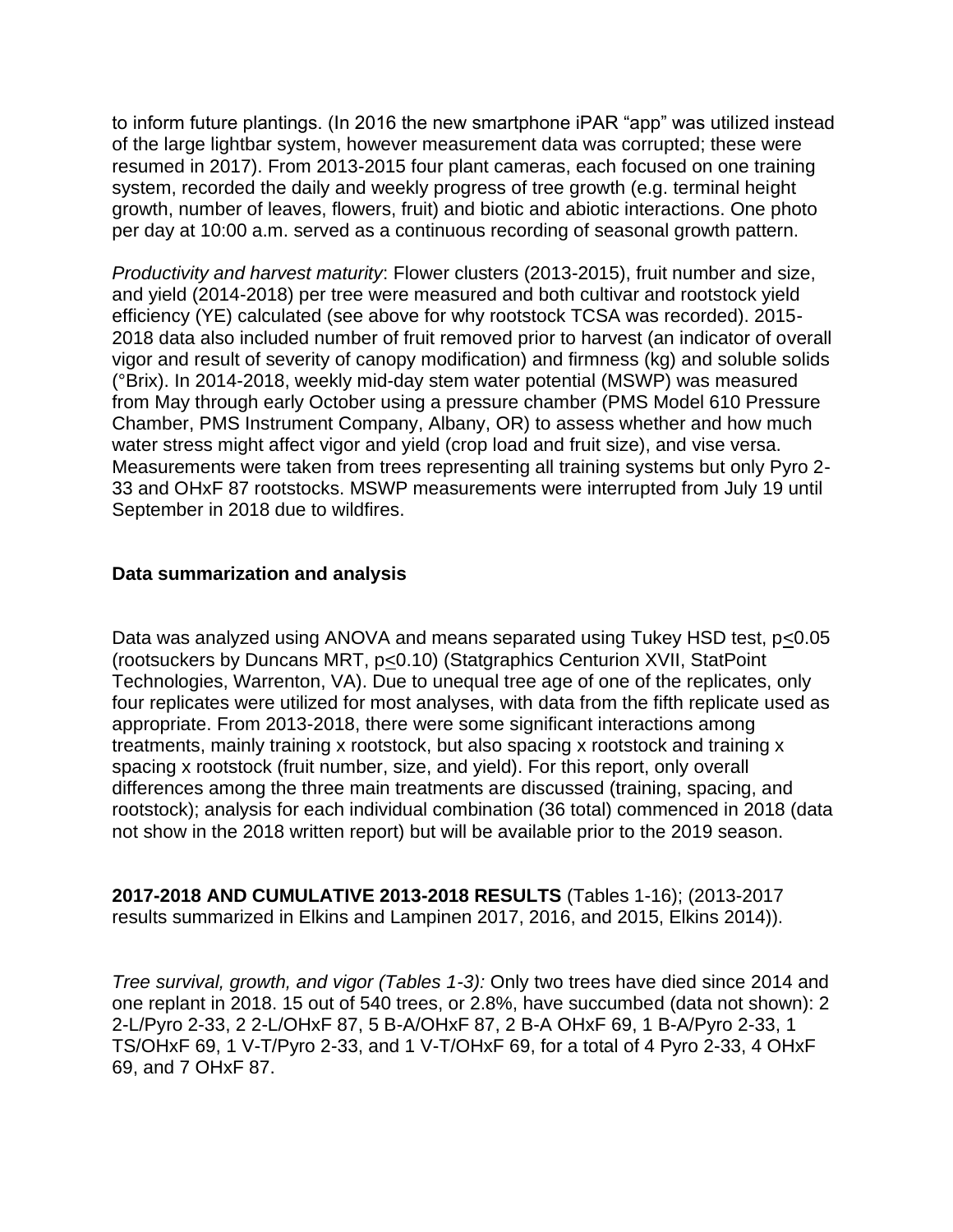to inform future plantings. (In 2016 the new smartphone iPAR "app" was utilized instead of the large lightbar system, however measurement data was corrupted; these were resumed in 2017). From 2013-2015 four plant cameras, each focused on one training system, recorded the daily and weekly progress of tree growth (e.g. terminal height growth, number of leaves, flowers, fruit) and biotic and abiotic interactions. One photo per day at 10:00 a.m. served as a continuous recording of seasonal growth pattern.

*Productivity and harvest maturity*: Flower clusters (2013-2015), fruit number and size, and yield (2014-2018) per tree were measured and both cultivar and rootstock yield efficiency (YE) calculated (see above for why rootstock TCSA was recorded). 2015- 2018 data also included number of fruit removed prior to harvest (an indicator of overall vigor and result of severity of canopy modification) and firmness (kg) and soluble solids (°Brix). In 2014-2018, weekly mid-day stem water potential (MSWP) was measured from May through early October using a pressure chamber (PMS Model 610 Pressure Chamber, PMS Instrument Company, Albany, OR) to assess whether and how much water stress might affect vigor and yield (crop load and fruit size), and vise versa. Measurements were taken from trees representing all training systems but only Pyro 2- 33 and OHxF 87 rootstocks. MSWP measurements were interrupted from July 19 until September in 2018 due to wildfires.

#### **Data summarization and analysis**

Data was analyzed using ANOVA and means separated using Tukey HSD test, p<0.05 (rootsuckers by Duncans MRT, p<0.10) (Statgraphics Centurion XVII, StatPoint Technologies, Warrenton, VA). Due to unequal tree age of one of the replicates, only four replicates were utilized for most analyses, with data from the fifth replicate used as appropriate. From 2013-2018, there were some significant interactions among treatments, mainly training x rootstock, but also spacing x rootstock and training x spacing x rootstock (fruit number, size, and yield). For this report, only overall differences among the three main treatments are discussed (training, spacing, and rootstock); analysis for each individual combination (36 total) commenced in 2018 (data not show in the 2018 written report) but will be available prior to the 2019 season.

#### **2017-2018 AND CUMULATIVE 2013-2018 RESULTS** (Tables 1-16); (2013-2017 results summarized in Elkins and Lampinen 2017, 2016, and 2015, Elkins 2014)).

*Tree survival, growth, and vigor (Tables 1-3):* Only two trees have died since 2014 and one replant in 2018. 15 out of 540 trees, or 2.8%, have succumbed (data not shown): 2 2-L/Pyro 2-33, 2 2-L/OHxF 87, 5 B-A/OHxF 87, 2 B-A OHxF 69, 1 B-A/Pyro 2-33, 1 TS/OHxF 69, 1 V-T/Pyro 2-33, and 1 V-T/OHxF 69, for a total of 4 Pyro 2-33, 4 OHxF 69, and 7 OHxF 87.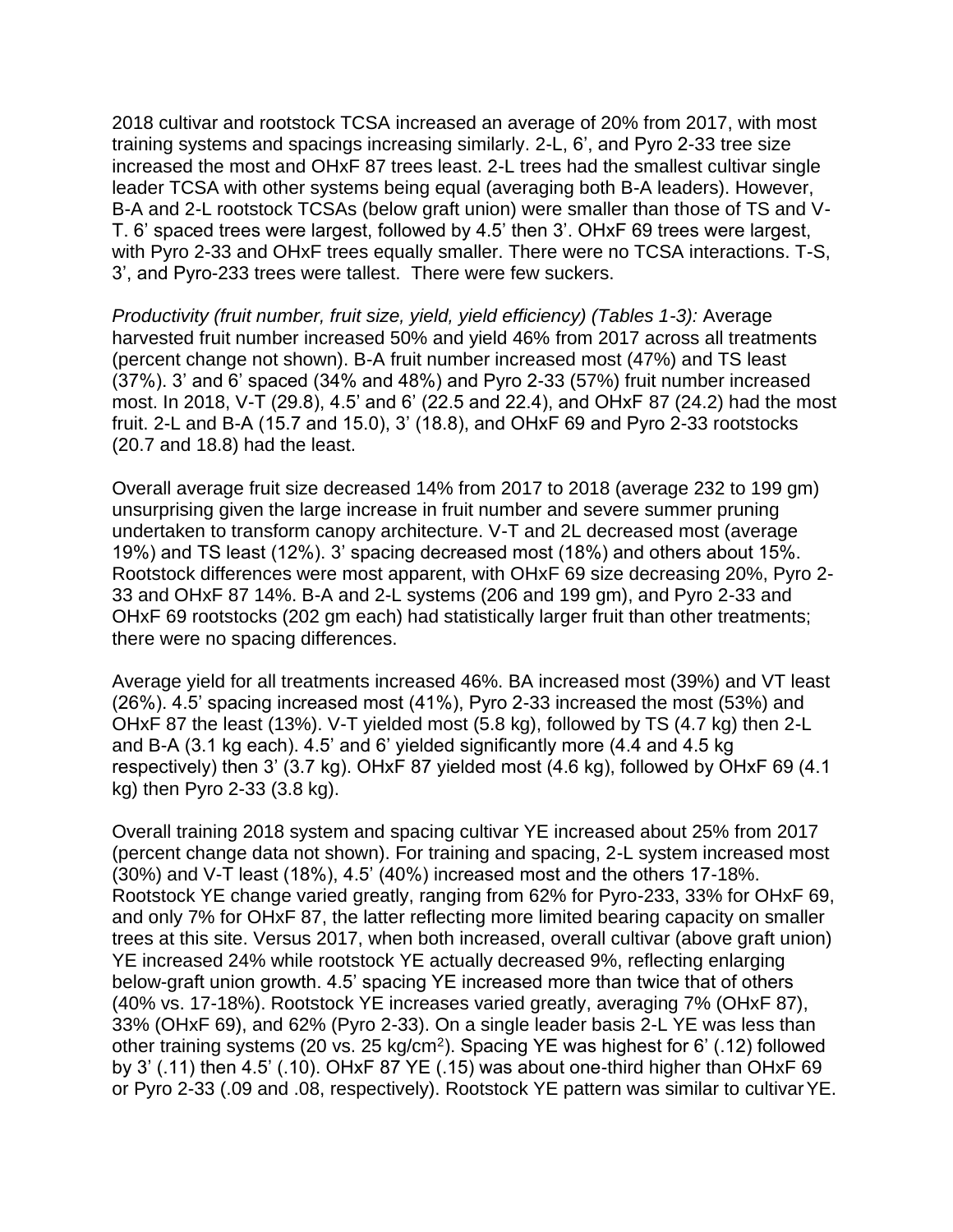2018 cultivar and rootstock TCSA increased an average of 20% from 2017, with most training systems and spacings increasing similarly. 2-L, 6', and Pyro 2-33 tree size increased the most and OHxF 87 trees least. 2-L trees had the smallest cultivar single leader TCSA with other systems being equal (averaging both B-A leaders). However, B-A and 2-L rootstock TCSAs (below graft union) were smaller than those of TS and V-T. 6' spaced trees were largest, followed by 4.5' then 3'. OHxF 69 trees were largest, with Pyro 2-33 and OHxF trees equally smaller. There were no TCSA interactions. T-S, 3', and Pyro-233 trees were tallest. There were few suckers.

*Productivity (fruit number, fruit size, yield, yield efficiency) (Tables 1-3):* Average harvested fruit number increased 50% and yield 46% from 2017 across all treatments (percent change not shown). B-A fruit number increased most (47%) and TS least (37%). 3' and 6' spaced (34% and 48%) and Pyro 2-33 (57%) fruit number increased most. In 2018, V-T (29.8), 4.5' and 6' (22.5 and 22.4), and OHxF 87 (24.2) had the most fruit. 2-L and B-A (15.7 and 15.0), 3' (18.8), and OHxF 69 and Pyro 2-33 rootstocks (20.7 and 18.8) had the least.

Overall average fruit size decreased 14% from 2017 to 2018 (average 232 to 199 gm) unsurprising given the large increase in fruit number and severe summer pruning undertaken to transform canopy architecture. V-T and 2L decreased most (average 19%) and TS least (12%). 3' spacing decreased most (18%) and others about 15%. Rootstock differences were most apparent, with OHxF 69 size decreasing 20%, Pyro 2- 33 and OHxF 87 14%. B-A and 2-L systems (206 and 199 gm), and Pyro 2-33 and OHxF 69 rootstocks (202 gm each) had statistically larger fruit than other treatments; there were no spacing differences.

Average yield for all treatments increased 46%. BA increased most (39%) and VT least (26%). 4.5' spacing increased most (41%), Pyro 2-33 increased the most (53%) and OHxF 87 the least (13%). V-T yielded most (5.8 kg), followed by TS (4.7 kg) then 2-L and B-A (3.1 kg each). 4.5' and 6' yielded significantly more (4.4 and 4.5 kg respectively) then 3' (3.7 kg). OHxF 87 yielded most (4.6 kg), followed by OHxF 69 (4.1 kg) then Pyro 2-33 (3.8 kg).

Overall training 2018 system and spacing cultivar YE increased about 25% from 2017 (percent change data not shown). For training and spacing, 2-L system increased most (30%) and V-T least (18%), 4.5' (40%) increased most and the others 17-18%. Rootstock YE change varied greatly, ranging from 62% for Pyro-233, 33% for OHxF 69, and only 7% for OHxF 87, the latter reflecting more limited bearing capacity on smaller trees at this site. Versus 2017, when both increased, overall cultivar (above graft union) YE increased 24% while rootstock YE actually decreased 9%, reflecting enlarging below-graft union growth. 4.5' spacing YE increased more than twice that of others (40% vs. 17-18%). Rootstock YE increases varied greatly, averaging 7% (OHxF 87), 33% (OHxF 69), and 62% (Pyro 2-33). On a single leader basis 2-L YE was less than other training systems (20 vs. 25 kg/cm<sup>2</sup>). Spacing YE was highest for 6' (.12) followed by 3' (.11) then 4.5' (.10). OHxF 87 YE (.15) was about one-third higher than OHxF 69 or Pyro 2-33 (.09 and .08, respectively). Rootstock YE pattern was similar to cultivarYE.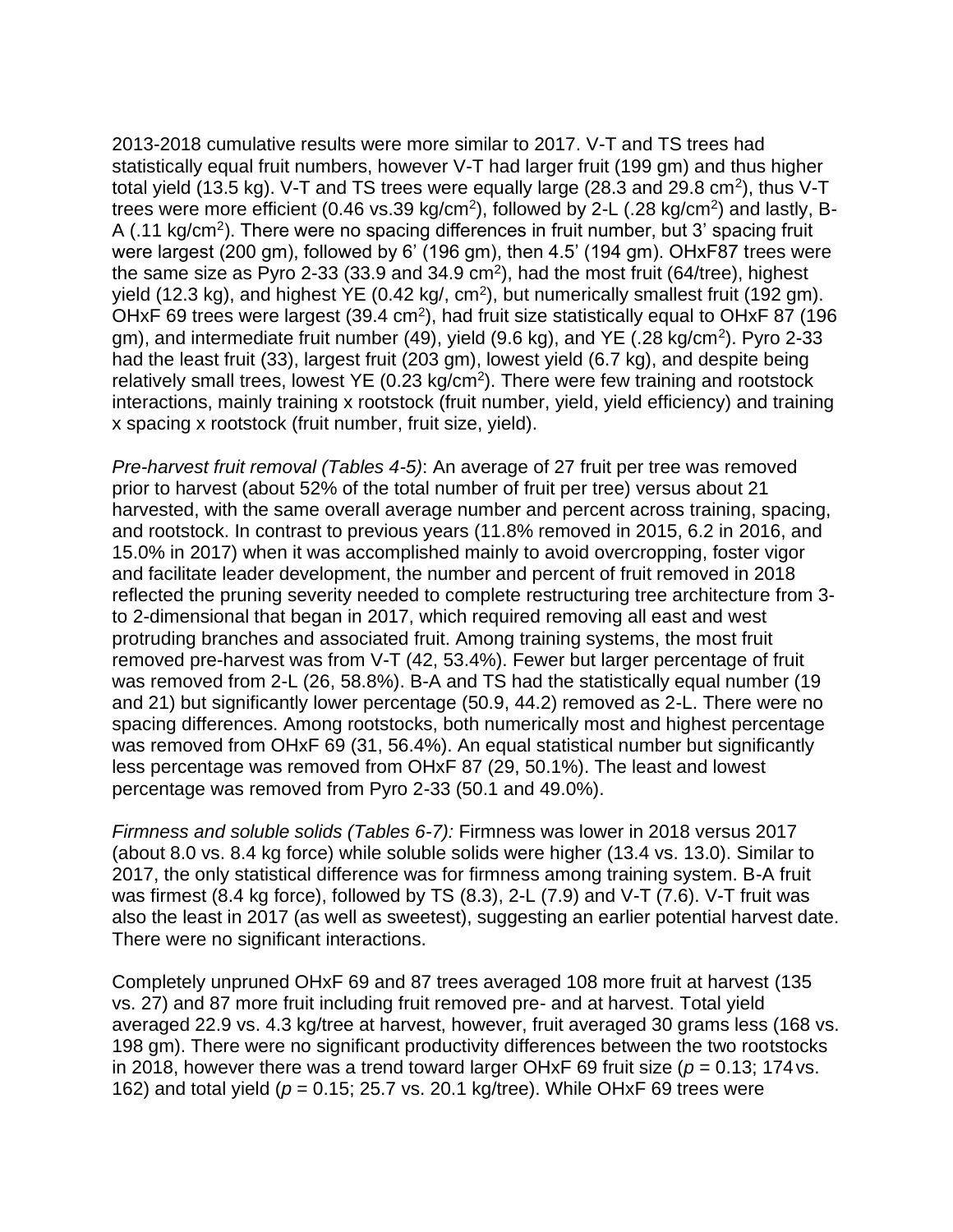2013-2018 cumulative results were more similar to 2017. V-T and TS trees had statistically equal fruit numbers, however V-T had larger fruit (199 gm) and thus higher total yield (13.5 kg). V-T and TS trees were equally large (28.3 and 29.8 cm<sup>2</sup>), thus V-T trees were more efficient (0.46 vs.39 kg/cm<sup>2</sup>), followed by 2-L (.28 kg/cm<sup>2</sup>) and lastly, B-A (.11 kg/cm<sup>2</sup>). There were no spacing differences in fruit number, but 3' spacing fruit were largest (200 gm), followed by 6' (196 gm), then 4.5' (194 gm). OHxF87 trees were the same size as Pyro 2-33 (33.9 and 34.9 cm<sup>2</sup>), had the most fruit (64/tree), highest yield (12.3 kg), and highest YE (0.42 kg/, cm<sup>2</sup>), but numerically smallest fruit (192 gm). OHxF 69 trees were largest (39.4 cm<sup>2</sup>), had fruit size statistically equal to OHxF 87 (196 gm), and intermediate fruit number (49), yield (9.6 kg), and YE (.28 kg/cm<sup>2</sup>). Pyro 2-33 had the least fruit (33), largest fruit (203 gm), lowest yield (6.7 kg), and despite being relatively small trees, lowest  $YE$  (0.23 kg/cm<sup>2</sup>). There were few training and rootstock interactions, mainly training x rootstock (fruit number, yield, yield efficiency) and training x spacing x rootstock (fruit number, fruit size, yield).

*Pre-harvest fruit removal (Tables 4-5)*: An average of 27 fruit per tree was removed prior to harvest (about 52% of the total number of fruit per tree) versus about 21 harvested, with the same overall average number and percent across training, spacing, and rootstock. In contrast to previous years (11.8% removed in 2015, 6.2 in 2016, and 15.0% in 2017) when it was accomplished mainly to avoid overcropping, foster vigor and facilitate leader development, the number and percent of fruit removed in 2018 reflected the pruning severity needed to complete restructuring tree architecture from 3 to 2-dimensional that began in 2017, which required removing all east and west protruding branches and associated fruit. Among training systems, the most fruit removed pre-harvest was from V-T (42, 53.4%). Fewer but larger percentage of fruit was removed from 2-L (26, 58.8%). B-A and TS had the statistically equal number (19 and 21) but significantly lower percentage (50.9, 44.2) removed as 2-L. There were no spacing differences. Among rootstocks, both numerically most and highest percentage was removed from OHxF 69 (31, 56.4%). An equal statistical number but significantly less percentage was removed from OHxF 87 (29, 50.1%). The least and lowest percentage was removed from Pyro 2-33 (50.1 and 49.0%).

*Firmness and soluble solids (Tables 6-7):* Firmness was lower in 2018 versus 2017 (about 8.0 vs. 8.4 kg force) while soluble solids were higher (13.4 vs. 13.0). Similar to 2017, the only statistical difference was for firmness among training system. B-A fruit was firmest (8.4 kg force), followed by TS (8.3), 2-L (7.9) and V-T (7.6). V-T fruit was also the least in 2017 (as well as sweetest), suggesting an earlier potential harvest date. There were no significant interactions.

Completely unpruned OHxF 69 and 87 trees averaged 108 more fruit at harvest (135 vs. 27) and 87 more fruit including fruit removed pre- and at harvest. Total yield averaged 22.9 vs. 4.3 kg/tree at harvest, however, fruit averaged 30 grams less (168 vs. 198 gm). There were no significant productivity differences between the two rootstocks in 2018, however there was a trend toward larger OHxF 69 fruit size ( $p = 0.13$ ; 174 vs. 162) and total yield (*p* = 0.15; 25.7 vs. 20.1 kg/tree). While OHxF 69 trees were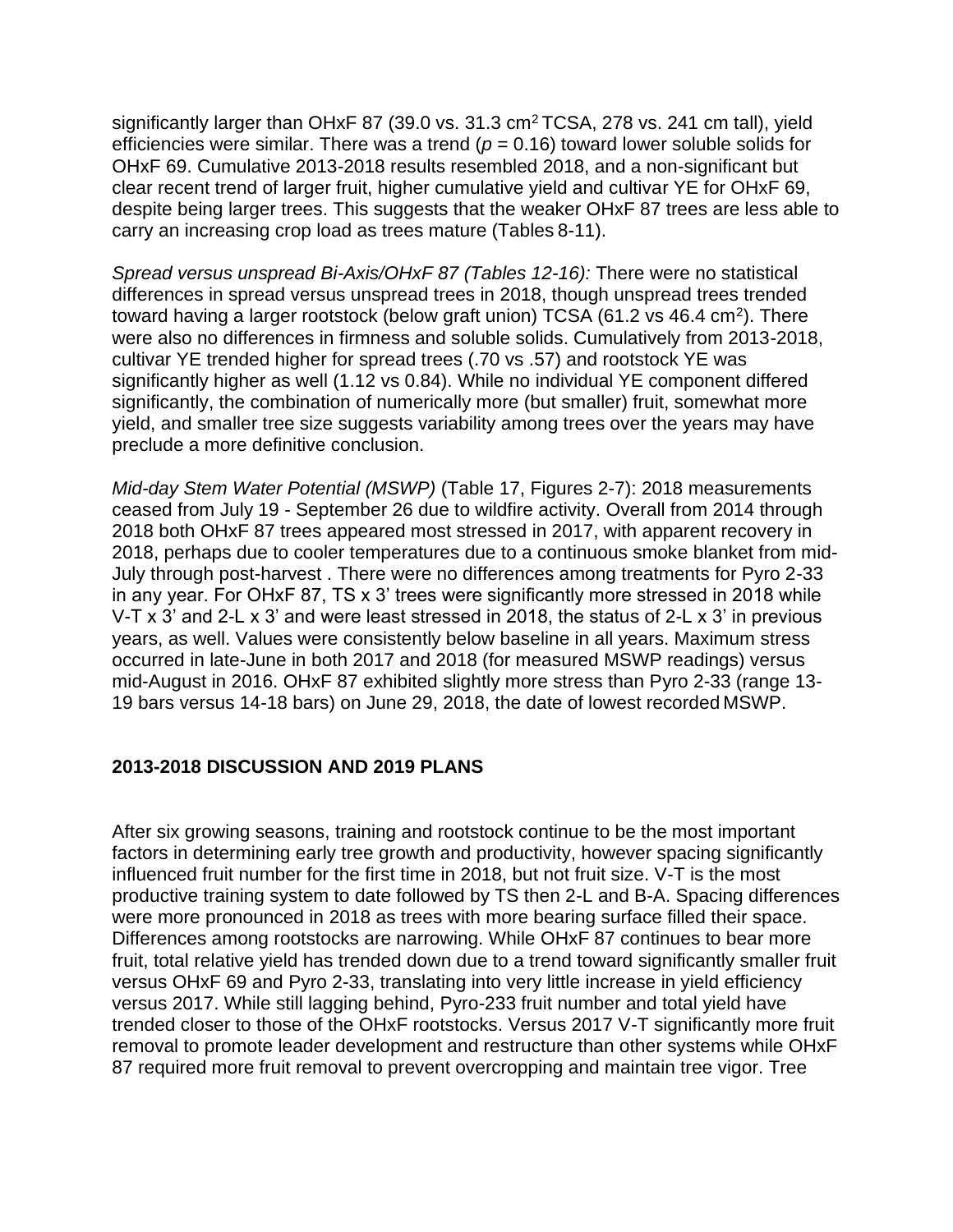significantly larger than OHxF 87 (39.0 vs.  $31.3 \text{ cm}^2$  TCSA, 278 vs. 241 cm tall), yield efficiencies were similar. There was a trend (*p* = 0.16) toward lower soluble solids for OHxF 69. Cumulative 2013-2018 results resembled 2018, and a non-significant but clear recent trend of larger fruit, higher cumulative yield and cultivar YE for OHxF 69, despite being larger trees. This suggests that the weaker OHxF 87 trees are less able to carry an increasing crop load as trees mature (Tables 8-11).

*Spread versus unspread Bi-Axis/OHxF 87 (Tables 12-16):* There were no statistical differences in spread versus unspread trees in 2018, though unspread trees trended toward having a larger rootstock (below graft union) TCSA (61.2 vs 46.4 cm<sup>2</sup>). There were also no differences in firmness and soluble solids. Cumulatively from 2013-2018, cultivar YE trended higher for spread trees (.70 vs .57) and rootstock YE was significantly higher as well (1.12 vs 0.84). While no individual YE component differed significantly, the combination of numerically more (but smaller) fruit, somewhat more yield, and smaller tree size suggests variability among trees over the years may have preclude a more definitive conclusion.

*Mid-day Stem Water Potential (MSWP)* (Table 17, Figures 2-7): 2018 measurements ceased from July 19 - September 26 due to wildfire activity. Overall from 2014 through 2018 both OHxF 87 trees appeared most stressed in 2017, with apparent recovery in 2018, perhaps due to cooler temperatures due to a continuous smoke blanket from mid-July through post-harvest . There were no differences among treatments for Pyro 2-33 in any year. For OHxF 87, TS x 3' trees were significantly more stressed in 2018 while V-T x 3' and 2-L x 3' and were least stressed in 2018, the status of 2-L x 3' in previous years, as well. Values were consistently below baseline in all years. Maximum stress occurred in late-June in both 2017 and 2018 (for measured MSWP readings) versus mid-August in 2016. OHxF 87 exhibited slightly more stress than Pyro 2-33 (range 13- 19 bars versus 14-18 bars) on June 29, 2018, the date of lowest recorded MSWP.

#### **2013-2018 DISCUSSION AND 2019 PLANS**

After six growing seasons, training and rootstock continue to be the most important factors in determining early tree growth and productivity, however spacing significantly influenced fruit number for the first time in 2018, but not fruit size. V-T is the most productive training system to date followed by TS then 2-L and B-A. Spacing differences were more pronounced in 2018 as trees with more bearing surface filled their space. Differences among rootstocks are narrowing. While OHxF 87 continues to bear more fruit, total relative yield has trended down due to a trend toward significantly smaller fruit versus OHxF 69 and Pyro 2-33, translating into very little increase in yield efficiency versus 2017. While still lagging behind, Pyro-233 fruit number and total yield have trended closer to those of the OHxF rootstocks. Versus 2017 V-T significantly more fruit removal to promote leader development and restructure than other systems while OHxF 87 required more fruit removal to prevent overcropping and maintain tree vigor. Tree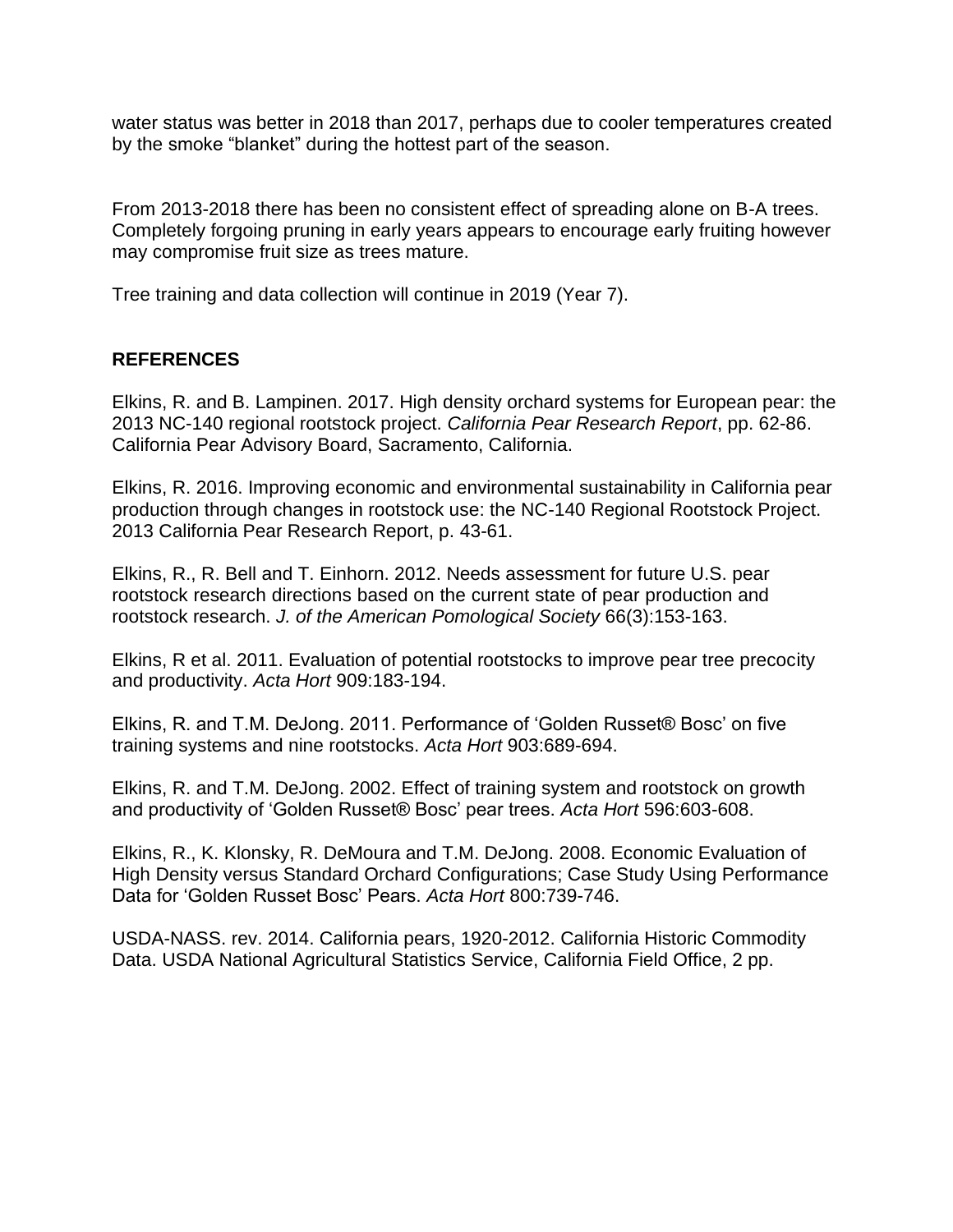water status was better in 2018 than 2017, perhaps due to cooler temperatures created by the smoke "blanket" during the hottest part of the season.

From 2013-2018 there has been no consistent effect of spreading alone on B-A trees. Completely forgoing pruning in early years appears to encourage early fruiting however may compromise fruit size as trees mature.

Tree training and data collection will continue in 2019 (Year 7).

## **REFERENCES**

Elkins, R. and B. Lampinen. 2017. High density orchard systems for European pear: the 2013 NC-140 regional rootstock project. *California Pear Research Report*, pp. 62-86. California Pear Advisory Board, Sacramento, California.

Elkins, R. 2016. Improving economic and environmental sustainability in California pear production through changes in rootstock use: the NC-140 Regional Rootstock Project. 2013 California Pear Research Report, p. 43-61.

Elkins, R., R. Bell and T. Einhorn. 2012. Needs assessment for future U.S. pear rootstock research directions based on the current state of pear production and rootstock research. *J. of the American Pomological Society* 66(3):153-163.

Elkins, R et al. 2011. Evaluation of potential rootstocks to improve pear tree precocity and productivity. *Acta Hort* 909:183-194.

Elkins, R. and T.M. DeJong. 2011. Performance of 'Golden Russet® Bosc' on five training systems and nine rootstocks. *Acta Hort* 903:689-694.

Elkins, R. and T.M. DeJong. 2002. Effect of training system and rootstock on growth and productivity of 'Golden Russet® Bosc' pear trees. *Acta Hort* 596:603-608.

Elkins, R., K. Klonsky, R. DeMoura and T.M. DeJong. 2008. Economic Evaluation of High Density versus Standard Orchard Configurations; Case Study Using Performance Data for 'Golden Russet Bosc' Pears. *Acta Hort* 800:739-746.

USDA-NASS. rev. 2014. California pears, 1920-2012. California Historic Commodity Data. USDA National Agricultural Statistics Service, California Field Office, 2 pp.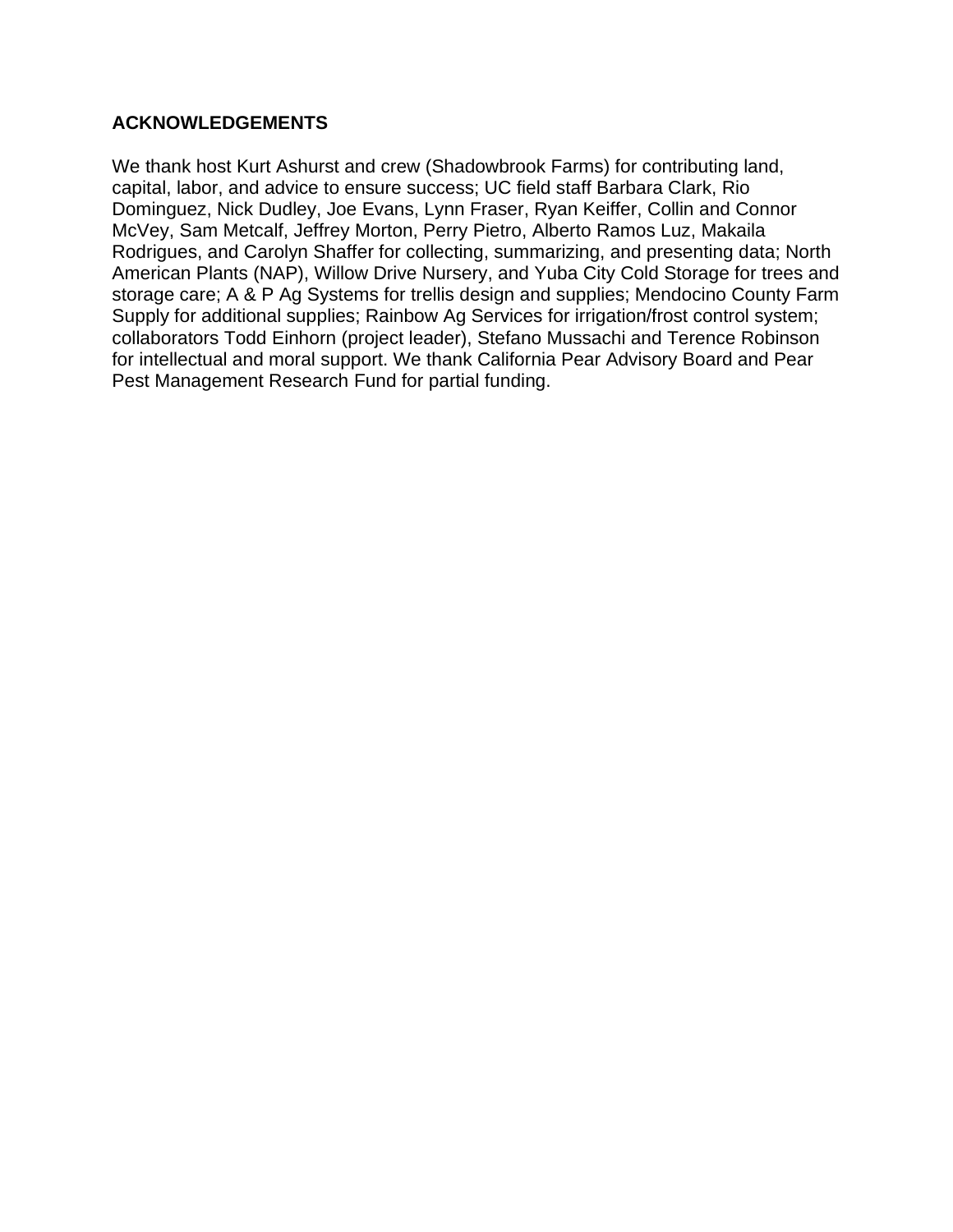## **ACKNOWLEDGEMENTS**

We thank host Kurt Ashurst and crew (Shadowbrook Farms) for contributing land, capital, labor, and advice to ensure success; UC field staff Barbara Clark, Rio Dominguez, Nick Dudley, Joe Evans, Lynn Fraser, Ryan Keiffer, Collin and Connor McVey, Sam Metcalf, Jeffrey Morton, Perry Pietro, Alberto Ramos Luz, Makaila Rodrigues, and Carolyn Shaffer for collecting, summarizing, and presenting data; North American Plants (NAP), Willow Drive Nursery, and Yuba City Cold Storage for trees and storage care; A & P Ag Systems for trellis design and supplies; Mendocino County Farm Supply for additional supplies; Rainbow Ag Services for irrigation/frost control system; collaborators Todd Einhorn (project leader), Stefano Mussachi and Terence Robinson for intellectual and moral support. We thank California Pear Advisory Board and Pear Pest Management Research Fund for partial funding.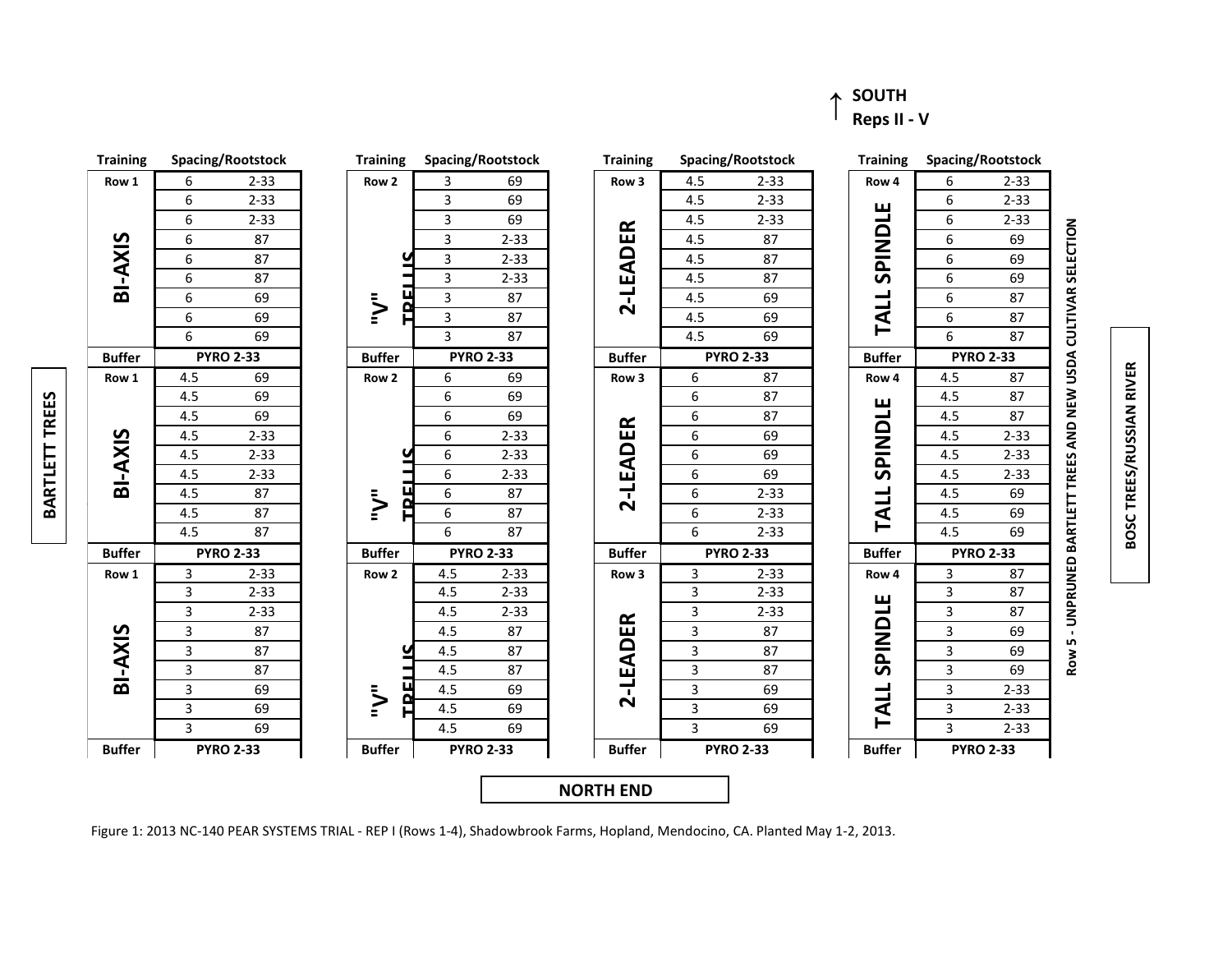#### ↑ **SOUTH Reps II - V**



**Ro w 5 - UNPRU NED BARTLETT TREES A NDNEW USDA CULTIVAR SELECTION**

**BOSC TREES/RUSSI ANRIVER**

Figure 1: 2013 NC-140 PEAR SYSTEMS TRIAL - REP I (Rows 1-4), Shadowbrook Farms, Hopland, Mendocino, CA. Planted May 1-2, 2013.

**BARTLET TTREES**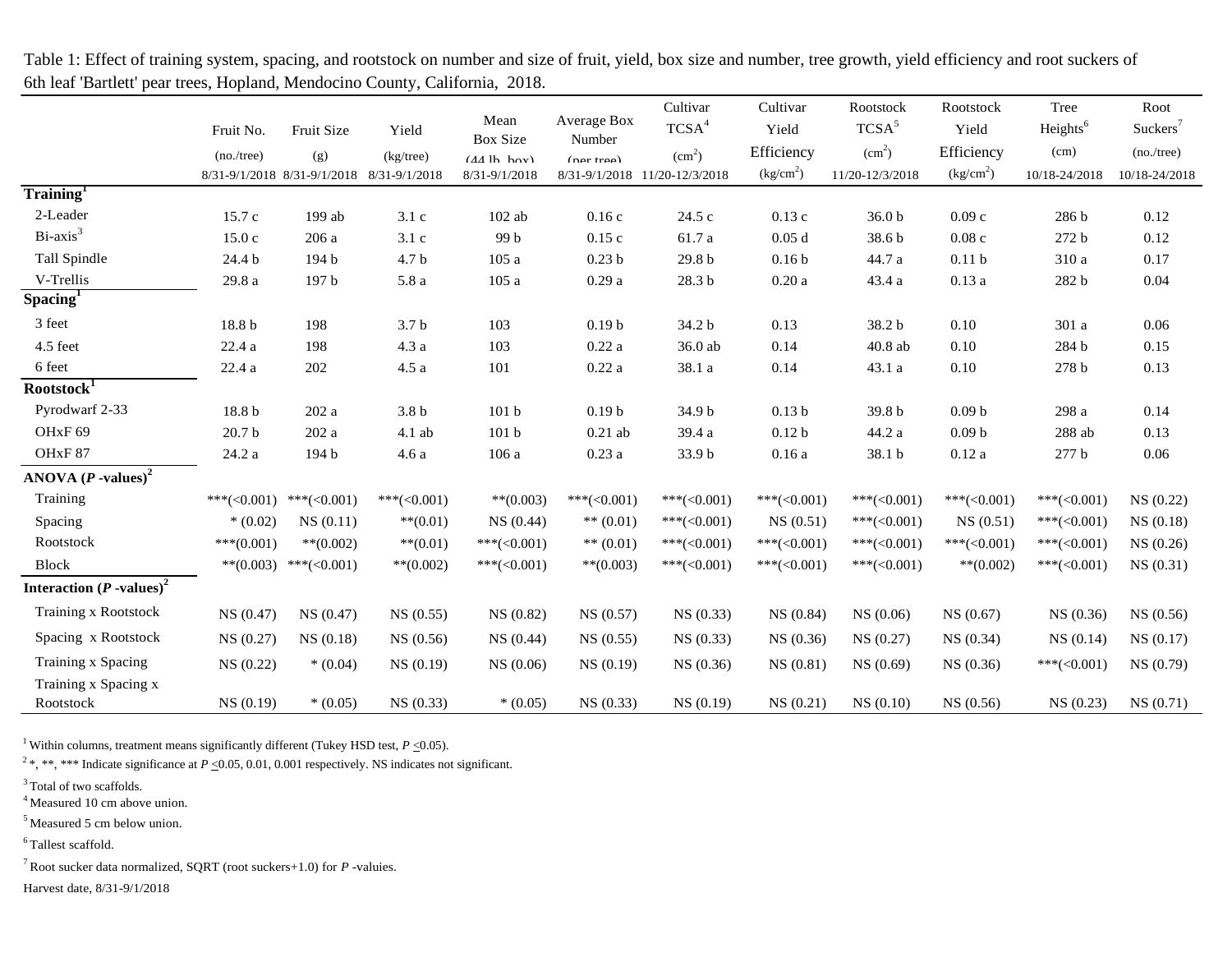|                                        | Fruit No.<br>(no./tree) | Fruit Size<br>(g)                         | Yield<br>$(kg$ /tree) | Mean<br><b>Box Size</b><br>$(AA \, h \, h \, \text{av})$ | Average Box<br>Number<br>(nar <i>tra</i> a) | Cultivar<br>TCSA <sup>4</sup><br>(cm <sup>2</sup> ) | Cultivar<br>Yield<br>Efficiency | Rootstock<br>TCSA <sup>5</sup><br>$\text{(cm}^2\text{)}$ | Rootstock<br>Yield<br>Efficiency | Tree<br>Heights <sup>6</sup><br>(cm) | Root<br>Suckers <sup>7</sup><br>(no./tree) |
|----------------------------------------|-------------------------|-------------------------------------------|-----------------------|----------------------------------------------------------|---------------------------------------------|-----------------------------------------------------|---------------------------------|----------------------------------------------------------|----------------------------------|--------------------------------------|--------------------------------------------|
| Training <sup>1</sup>                  |                         | 8/31-9/1/2018 8/31-9/1/2018 8/31-9/1/2018 |                       | 8/31-9/1/2018                                            | $8/31 - 9/1/2018$                           | 11/20-12/3/2018                                     | (kg/cm <sup>2</sup> )           | 11/20-12/3/2018                                          | (kg/cm <sup>2</sup> )            | 10/18-24/2018                        | 10/18-24/2018                              |
| 2-Leader                               | 15.7c                   | 199 ab                                    | 3.1c                  | $102$ ab                                                 | 0.16c                                       | 24.5 c                                              | 0.13c                           | 36.0 <sub>b</sub>                                        | 0.09c                            | 286 b                                | 0.12                                       |
| $Bi-axis3$                             | 15.0c                   | 206 a                                     | 3.1c                  | 99 b                                                     | 0.15c                                       | 61.7 a                                              | 0.05d                           | 38.6 b                                                   | 0.08c                            | 272 b                                | 0.12                                       |
| Tall Spindle                           | 24.4 b                  | 194 b                                     | 4.7 <sub>b</sub>      | 105a                                                     | 0.23 <sub>b</sub>                           | 29.8 <sub>b</sub>                                   | 0.16 <sub>b</sub>               | 44.7 a                                                   | 0.11 <sub>b</sub>                | 310 a                                | 0.17                                       |
| V-Trellis                              | 29.8 a                  | 197 b                                     | $5.8\ \mathrm{a}$     | 105a                                                     | 0.29a                                       | 28.3 b                                              | $0.20\ \rm{a}$                  | 43.4 a                                                   | 0.13a                            | 282 b                                | 0.04                                       |
| Spacing                                |                         |                                           |                       |                                                          |                                             |                                                     |                                 |                                                          |                                  |                                      |                                            |
| 3 feet                                 | 18.8 b                  | 198                                       | 3.7 <sub>b</sub>      | 103                                                      | 0.19 <sub>b</sub>                           | 34.2 b                                              | 0.13                            | 38.2 b                                                   | 0.10                             | 301 a                                | 0.06                                       |
| 4.5 feet                               | 22.4a                   | 198                                       | 4.3a                  | 103                                                      | 0.22a                                       | 36.0 ab                                             | 0.14                            | $40.8$ ab                                                | 0.10                             | 284 b                                | 0.15                                       |
| 6 feet                                 | 22.4 a                  | 202                                       | 4.5a                  | 101                                                      | $0.22\ \mathrm{a}$                          | 38.1 a                                              | 0.14                            | 43.1 a                                                   | 0.10                             | 278 b                                | 0.13                                       |
| Rootstock <sup>T</sup>                 |                         |                                           |                       |                                                          |                                             |                                                     |                                 |                                                          |                                  |                                      |                                            |
| Pyrodwarf 2-33                         | 18.8 b                  | 202 a                                     | 3.8 <sub>b</sub>      | 101 <sub>b</sub>                                         | 0.19 <sub>b</sub>                           | 34.9 b                                              | 0.13 <sub>b</sub>               | 39.8 <sub>b</sub>                                        | 0.09 <sub>b</sub>                | 298 a                                | 0.14                                       |
| OH <sub>xF</sub> 69                    | 20.7 <sub>b</sub>       | 202 a                                     | 4.1 ab                | 101 <sub>b</sub>                                         | $0.21$ ab                                   | 39.4 a                                              | 0.12 <sub>b</sub>               | 44.2 a                                                   | 0.09 <sub>b</sub>                | 288 ab                               | 0.13                                       |
| OHxF87                                 | 24.2 a                  | 194 b                                     | 4.6a                  | 106 a                                                    | 0.23a                                       | 33.9 b                                              | 0.16a                           | 38.1 b                                                   | 0.12a                            | $277\,\mathrm{b}$                    | 0.06                                       |
| ANOVA $(P$ -values) <sup>2</sup>       |                         |                                           |                       |                                                          |                                             |                                                     |                                 |                                                          |                                  |                                      |                                            |
| Training                               | *** $(<0.001)$          | ***(< $0.001$ )                           | ***(< $0.001$ )       | $**(0.003)$                                              | ***(< $0.001$ )                             | ***(< $0.001$ )                                     | ***(< $0.001$ )                 | ***(< $0.001$ )                                          | ***(< $0.001$ )                  | $***(<0.001)$                        | NS(0.22)                                   |
| Spacing                                | $*(0.02)$               | NS(0.11)                                  | $***(0.01)$           | NS(0.44)                                                 | ** $(0.01)$                                 | ***(< $0.001$ )                                     | NS(0.51)                        | ***(< $0.001$ )                                          | NS(0.51)                         | ***(< $0.001$ )                      | NS(0.18)                                   |
| Rootstock                              | $***(0.001)$            | $**$ (0.002)                              | $***(0.01)$           | ***(< $0.001$ )                                          | ** $(0.01)$                                 | ***(< $0.001$ )                                     | ***(< $0.001$ )                 | ***(< $0.001$ )                                          | ***(< $0.001$ )                  | ***(< $0.001$ )                      | NS(0.26)                                   |
| <b>Block</b>                           | $**(0.003)$             | *** $(<0.001)$                            | $**$ (0.002)          | ***(< $0.001$ )                                          | $**$ (0.003)                                | ***(< $0.001$ )                                     | $***(<0.001)$                   | ***(< $0.001$ )                                          | $**$ (0.002)                     | ***(< $0.001$ )                      | NS(0.31)                                   |
| Interaction $(P$ -values) <sup>2</sup> |                         |                                           |                       |                                                          |                                             |                                                     |                                 |                                                          |                                  |                                      |                                            |
| <b>Training x Rootstock</b>            | NS(0.47)                | NS(0.47)                                  | NS(0.55)              | NS(0.82)                                                 | NS(0.57)                                    | NS(0.33)                                            | NS(0.84)                        | NS(0.06)                                                 | NS(0.67)                         | NS(0.36)                             | NS(0.56)                                   |
| Spacing x Rootstock                    | NS(0.27)                | NS(0.18)                                  | NS(0.56)              | NS(0.44)                                                 | NS(0.55)                                    | NS(0.33)                                            | NS(0.36)                        | NS(0.27)                                                 | NS(0.34)                         | NS(0.14)                             | NS(0.17)                                   |
| Training x Spacing                     | NS (0.22)               | $*(0.04)$                                 | NS(0.19)              | NS (0.06)                                                | NS(0.19)                                    | NS(0.36)                                            | NS(0.81)                        | NS(0.69)                                                 | NS (0.36)                        | ***(< $0.001$ )                      | NS (0.79)                                  |
| Training x Spacing x<br>Rootstock      | NS(0.19)                | $*(0.05)$                                 | NS(0.33)              | $*(0.05)$                                                | NS(0.33)                                    | NS(0.19)                                            | NS(0.21)                        | NS(0.10)                                                 | NS(0.56)                         | NS(0.23)                             | NS(0.71)                                   |

Table 1: Effect of training system, spacing, and rootstock on number and size of fruit, yield, box size and number, tree growth, yield efficiency and root suckers of 6th leaf 'Bartlett' pear trees, Hopland, Mendocino County, California, 2018.

<sup>1</sup> Within columns, treatment means significantly different (Tukey HSD test,  $P \le 0.05$ ).

<sup>2</sup>\*, \*\*\* Indicate significance at *P* <0.05, 0.01, 0.001 respectively. NS indicates not significant.

<sup>3</sup>Total of two scaffolds.

<sup>4</sup> Measured 10 cm above union.

<sup>5</sup> Measured 5 cm below union.

<sup>6</sup>Tallest scaffold.

<sup>7</sup>Root sucker data normalized, SQRT (root suckers+1.0) for *P* -valuies.

Harvest date, 8/31-9/1/2018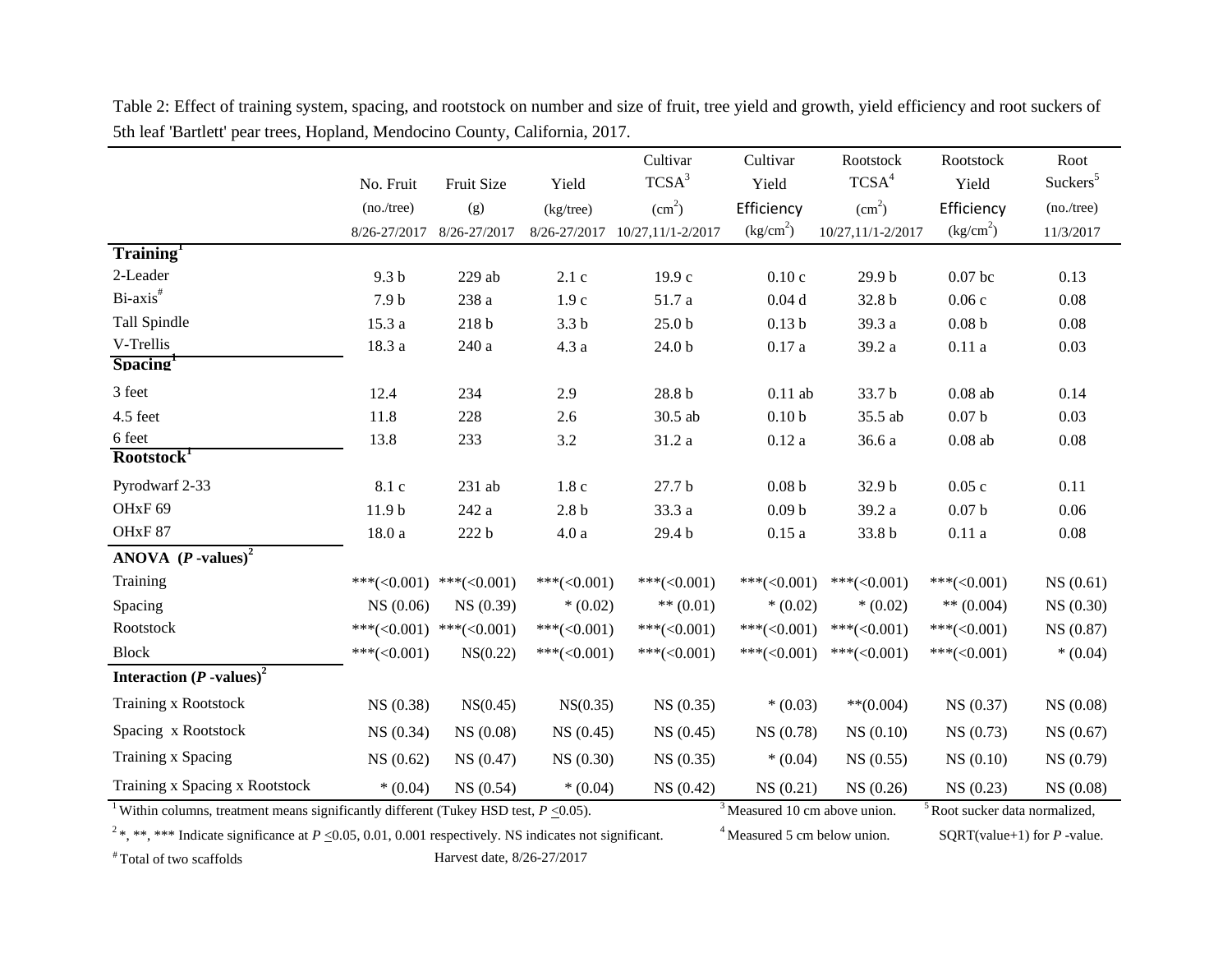|                                                                                                                    |                   |                              |                  | Cultivar           | Cultivar                        | Rootstock          | Rootstock                                 | Root                 |
|--------------------------------------------------------------------------------------------------------------------|-------------------|------------------------------|------------------|--------------------|---------------------------------|--------------------|-------------------------------------------|----------------------|
|                                                                                                                    | No. Fruit         | Fruit Size                   | Yield            | TCSA <sup>3</sup>  | Yield                           | TCSA <sup>4</sup>  | Yield                                     | Suckers <sup>5</sup> |
|                                                                                                                    | (no./tree)        | (g)                          | (kg/tree)        | (cm <sup>2</sup> ) | Efficiency                      | (cm <sup>2</sup> ) | Efficiency                                | (no./tree)           |
|                                                                                                                    | 8/26-27/2017      | 8/26-27/2017                 | 8/26-27/2017     | 10/27,11/1-2/2017  | (kg/cm <sup>2</sup> )           | 10/27,11/1-2/2017  | (kg/cm <sup>2</sup> )                     | 11/3/2017            |
| Training <sup>1</sup>                                                                                              |                   |                              |                  |                    |                                 |                    |                                           |                      |
| 2-Leader                                                                                                           | 9.3 <sub>b</sub>  | $229$ ab                     | 2.1c             | 19.9c              | 0.10c                           | 29.9 b             | $0.07$ bc                                 | 0.13                 |
| Bi-axis <sup>#</sup>                                                                                               | 7.9 <sub>b</sub>  | 238 a                        | 1.9c             | 51.7 a             | 0.04d                           | 32.8 b             | 0.06c                                     | 0.08                 |
| Tall Spindle                                                                                                       | 15.3 a            | $218\,\mathrm{b}$            | 3.3 <sub>b</sub> | 25.0 <sub>b</sub>  | 0.13 <sub>b</sub>               | 39.3 a             | 0.08 <sub>b</sub>                         | 0.08                 |
| V-Trellis                                                                                                          | 18.3a             | $240\ \rm{a}$                | 4.3a             | $24.0\ \mathrm{b}$ | $0.17\;a$                       | 39.2 a             | 0.11a                                     | 0.03                 |
| Spacing <sup>1</sup>                                                                                               |                   |                              |                  |                    |                                 |                    |                                           |                      |
| 3 feet                                                                                                             | 12.4              | 234                          | 2.9              | $28.8\,\mathrm{b}$ | $0.11$ ab                       | 33.7 b             | $0.08$ ab                                 | 0.14                 |
| 4.5 feet                                                                                                           | 11.8              | 228                          | 2.6              | 30.5 ab            | 0.10 <sub>b</sub>               | 35.5 ab            | 0.07 <sub>b</sub>                         | 0.03                 |
| 6 feet                                                                                                             | 13.8              | 233                          | $3.2\,$          | 31.2 a             | 0.12a                           | 36.6 a             | $0.08$ ab                                 | 0.08                 |
| Rootstock <sup>1</sup>                                                                                             |                   |                              |                  |                    |                                 |                    |                                           |                      |
| Pyrodwarf 2-33                                                                                                     | 8.1 c             | $231$ ab                     | 1.8c             | 27.7 b             | $0.08\ \mathrm{b}$              | 32.9 b             | 0.05c                                     | 0.11                 |
| OHxF <sub>69</sub>                                                                                                 | 11.9 <sub>b</sub> | 242 a                        | $2.8b$           | 33.3 a             | 0.09 <sub>b</sub>               | 39.2 a             | 0.07 <sub>b</sub>                         | 0.06                 |
| OHxF87                                                                                                             | 18.0a             | 222 b                        | 4.0a             | 29.4 b             | 0.15a                           | 33.8 b             | 0.11a                                     | 0.08                 |
| ANOVA $(P$ -values) <sup>2</sup>                                                                                   |                   |                              |                  |                    |                                 |                    |                                           |                      |
| Training                                                                                                           | ***(< $0.001$ )   | ***( $\langle 0.001 \rangle$ | ***(< $0.001$ )  | ***(< $0.001$ )    | ***(< $0.001$ )                 | ***(< $0.001$ )    | ***(< $0.001$ )                           | NS(0.61)             |
| Spacing                                                                                                            | NS (0.06)         | NS (0.39)                    | $*(0.02)$        | ** $(0.01)$        | $*(0.02)$                       | $*(0.02)$          | ** $(0.004)$                              | NS(0.30)             |
| Rootstock                                                                                                          |                   | ***(<0.001) ***(<0.001)      | ***(< $0.001$ )  | ***(< $0.001$ )    | ***(< $0.001$ )                 | $***(<0.001)$      | ***(< $0.001$ )                           | NS (0.87)            |
| <b>Block</b>                                                                                                       | $***(<0.001)$     | NS(0.22)                     | $***(<0.001)$    | ***(< $0.001$ )    | ***(< $0.001$ )                 | $***(<0.001)$      | ***(< $0.001$ )                           | $*(0.04)$            |
| Interaction $(P$ -values) <sup>2</sup>                                                                             |                   |                              |                  |                    |                                 |                    |                                           |                      |
| <b>Training x Rootstock</b>                                                                                        | NS(0.38)          | NS(0.45)                     | NS(0.35)         | NS(0.35)           | $*(0.03)$                       | $**$ (0.004)       | NS(0.37)                                  | NS(0.08)             |
| Spacing x Rootstock                                                                                                | NS(0.34)          | NS(0.08)                     | NS(0.45)         | NS(0.45)           | NS(0.78)                        | NS(0.10)           | NS(0.73)                                  | NS(0.67)             |
| Training x Spacing                                                                                                 | NS(0.62)          | NS(0.47)                     | NS(0.30)         | NS(0.35)           | $*(0.04)$                       | NS(0.55)           | NS(0.10)                                  | NS(0.79)             |
| Training x Spacing x Rootstock                                                                                     | $*(0.04)$         | NS(0.54)                     | $*(0.04)$        | NS(0.42)           | NS(0.21)                        | NS(0.26)           | NS(0.23)                                  | NS(0.08)             |
| <sup>1</sup> Within columns, treatment means significantly different (Tukey HSD test, $P \le 0.05$ ).              |                   |                              |                  |                    | $3$ Measured 10 cm above union. |                    | <sup>5</sup> Root sucker data normalized, |                      |
| <sup>2</sup> *, *** Indicate significance at $P \le 0.05, 0.01, 0.001$ respectively. NS indicates not significant. |                   |                              |                  |                    | $4$ Measured 5 cm below union.  |                    | SQRT(value+1) for $P$ -value.             |                      |

Table 2: Effect of training system, spacing, and rootstock on number and size of fruit, tree yield and growth, yield efficiency and root suckers of 5th leaf 'Bartlett' pear trees, Hopland, Mendocino County, California, 2017.

# Total of two scaffolds Harvest date, 8/26-27/2017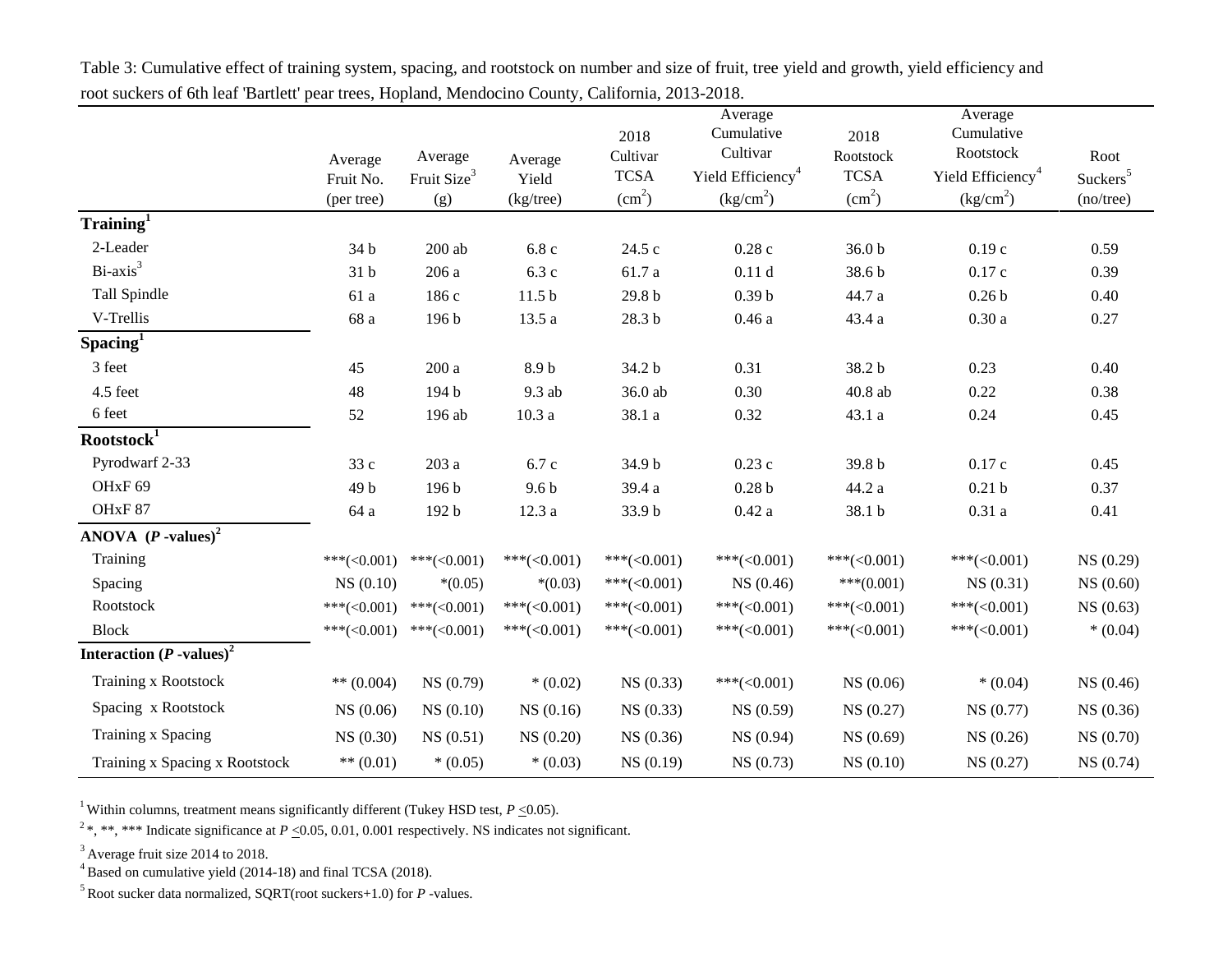|                                        |                 |                         |                   |                        | Average                             |                        | Average                             |                      |
|----------------------------------------|-----------------|-------------------------|-------------------|------------------------|-------------------------------------|------------------------|-------------------------------------|----------------------|
|                                        |                 |                         |                   | 2018                   | Cumulative                          | 2018                   | Cumulative                          |                      |
|                                        | Average         | Average                 | Average           | Cultivar               | Cultivar                            | Rootstock              | Rootstock                           | Root                 |
|                                        | Fruit No.       | Fruit Size <sup>3</sup> | Yield             | <b>TCSA</b>            | Yield Efficiency <sup>4</sup>       | <b>TCSA</b>            | Yield Efficiency <sup>4</sup>       | Suckers <sup>5</sup> |
|                                        | (per tree)      | (g)                     | (kg/tree)         | $\text{(cm}^2\text{)}$ | $\frac{\text{kg/cm}^2}{\text{m}^2}$ | $\text{(cm}^2\text{)}$ | $\frac{\text{kg/cm}^2}{\text{m}^2}$ | $(no$ /tree $)$      |
| Training <sup>1</sup>                  |                 |                         |                   |                        |                                     |                        |                                     |                      |
| 2-Leader                               | 34 b            | $200\;ab$               | 6.8c              | 24.5 c                 | 0.28c                               | 36.0 <sub>b</sub>      | 0.19c                               | 0.59                 |
| $Bi-axis3$                             | 31 b            | 206 a                   | 6.3c              | 61.7 a                 | 0.11d                               | 38.6 b                 | 0.17c                               | 0.39                 |
| Tall Spindle                           | 61 a            | 186 c                   | 11.5 <sub>b</sub> | 29.8 <sub>b</sub>      | 0.39 <sub>b</sub>                   | 44.7 a                 | 0.26 <sub>b</sub>                   | 0.40                 |
| V-Trellis                              | 68 a            | 196 b                   | 13.5 a            | 28.3 b                 | 0.46a                               | 43.4 a                 | 0.30a                               | 0.27                 |
| $S$ pacing <sup>1</sup>                |                 |                         |                   |                        |                                     |                        |                                     |                      |
| 3 feet                                 | 45              | 200a                    | 8.9 <sub>b</sub>  | 34.2 b                 | 0.31                                | 38.2 b                 | 0.23                                | 0.40                 |
| 4.5 feet                               | 48              | 194 b                   | 9.3 ab            | 36.0 ab                | 0.30                                | 40.8 ab                | 0.22                                | 0.38                 |
| 6 feet                                 | 52              | 196 ab                  | 10.3a             | 38.1 a                 | 0.32                                | 43.1 a                 | 0.24                                | 0.45                 |
| Rootstock <sup>1</sup>                 |                 |                         |                   |                        |                                     |                        |                                     |                      |
| Pyrodwarf 2-33                         | 33 c            | 203a                    | 6.7 c             | 34.9 b                 | 0.23c                               | 39.8 b                 | 0.17c                               | 0.45                 |
| OHxF <sub>69</sub>                     | 49 b            | 196 b                   | 9.6 <sub>b</sub>  | 39.4 a                 | 0.28 <sub>b</sub>                   | 44.2 a                 | 0.21 <sub>b</sub>                   | 0.37                 |
| OHxF87                                 | 64 a            | 192 b                   | 12.3a             | 33.9 b                 | 0.42a                               | 38.1 b                 | 0.31a                               | 0.41                 |
| ANOVA $(P$ -values) <sup>2</sup>       |                 |                         |                   |                        |                                     |                        |                                     |                      |
| Training                               | $***(<0.001)$   | $***(<0.001)$           | ***(< $0.001$ )   | $***(<0.001)$          | ***(< $0.001$ )                     | ***(< $0.001$ )        | ***(< $0.001$ )                     | NS (0.29)            |
| Spacing                                | NS(0.10)        | $*(0.05)$               | $*(0.03)$         | ***(< $0.001$ )        | NS (0.46)                           | $***(0.001)$           | NS(0.31)                            | NS(0.60)             |
| Rootstock                              | ***(< $0.001$ ) | $***(<0.001)$           | $***(<0.001)$     | ***(< $0.001$ )        | ***(< $0.001$ )                     | ***(< $0.001$ )        | ***(< $0.001$ )                     | NS(0.63)             |
| <b>Block</b>                           | $***(<0.001)$   | $***(<0.001)$           | ***(< $0.001$ )   | ***(< $0.001$ )        | ***(< $0.001$ )                     | $***(<0.001)$          | ***(< $0.001$ )                     | $*(0.04)$            |
| Interaction $(P$ -values) <sup>2</sup> |                 |                         |                   |                        |                                     |                        |                                     |                      |
| <b>Training x Rootstock</b>            | ** $(0.004)$    | NS(0.79)                | $*(0.02)$         | NS(0.33)               | ***(< $0.001$ )                     | NS(0.06)               | $*(0.04)$                           | NS(0.46)             |
| Spacing x Rootstock                    | NS(0.06)        | NS(0.10)                | NS(0.16)          | NS(0.33)               | NS (0.59)                           | NS(0.27)               | NS(0.77)                            | NS (0.36)            |
| Training x Spacing                     | NS(0.30)        | NS(0.51)                | NS (0.20)         | NS(0.36)               | NS (0.94)                           | NS(0.69)               | NS(0.26)                            | NS (0.70)            |
| Training x Spacing x Rootstock         | ** $(0.01)$     | $*(0.05)$               | $*(0.03)$         | NS(0.19)               | NS (0.73)                           | NS(0.10)               | NS(0.27)                            | NS(0.74)             |

Table 3: Cumulative effect of training system, spacing, and rootstock on number and size of fruit, tree yield and growth, yield efficiency and root suckers of 6th leaf 'Bartlett' pear trees, Hopland, Mendocino County, California, 2013-2018.

<sup>2</sup>\*, \*\*\* Indicate significance at  $P \le 0.05$ , 0.01, 0.001 respectively. NS indicates not significant.

 $3$  Average fruit size 2014 to 2018.

 $4B$ ased on cumulative yield (2014-18) and final TCSA (2018).

<sup>5</sup>Root sucker data normalized, SQRT(root suckers+1.0) for *P* -values.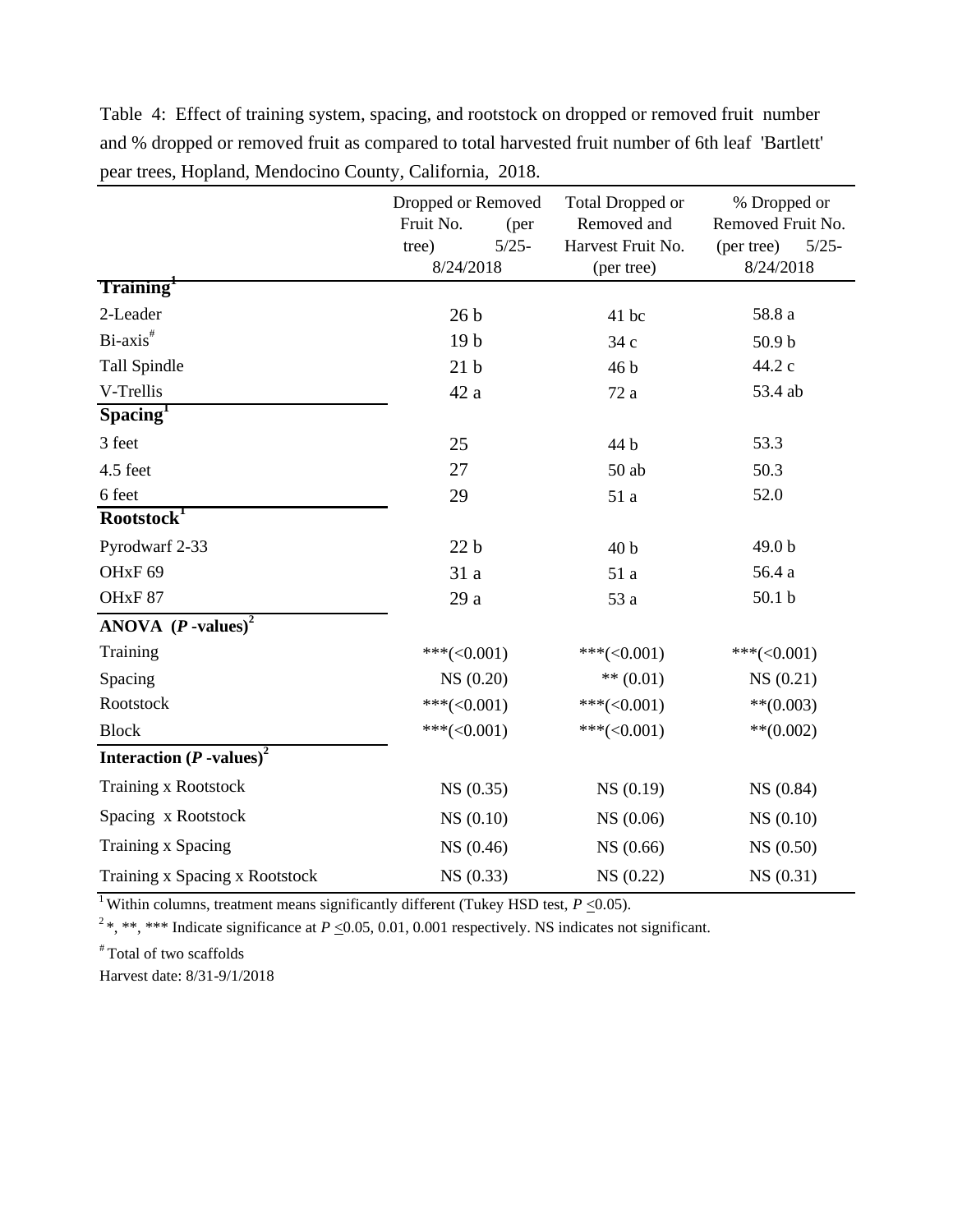|                                               | Dropped or Removed<br>Fruit No.<br>(per<br>$5/25 -$<br>tree) |  | Total Dropped or<br>Removed and<br>Harvest Fruit No. | % Dropped or<br>Removed Fruit No.<br>(per tree)<br>$5/25 -$ |  |
|-----------------------------------------------|--------------------------------------------------------------|--|------------------------------------------------------|-------------------------------------------------------------|--|
|                                               | 8/24/2018                                                    |  | (per tree)                                           | 8/24/2018                                                   |  |
| Training <sup>+</sup>                         |                                                              |  |                                                      |                                                             |  |
| 2-Leader                                      | 26 <sub>b</sub>                                              |  | 41 bc                                                | 58.8 a                                                      |  |
| Bi-axis <sup>#</sup>                          | 19 <sub>b</sub>                                              |  | 34 c                                                 | 50.9 <sub>b</sub>                                           |  |
| <b>Tall Spindle</b>                           | 21 <sub>b</sub>                                              |  | 46 b                                                 | 44.2 c                                                      |  |
| V-Trellis                                     | 42 a                                                         |  | 72 a                                                 | 53.4 ab                                                     |  |
| Spacing <sup>r</sup>                          |                                                              |  |                                                      |                                                             |  |
| 3 feet                                        | 25                                                           |  | 44 b                                                 | 53.3                                                        |  |
| 4.5 feet                                      | 27                                                           |  | $50$ ab                                              | 50.3                                                        |  |
| 6 feet                                        | 29                                                           |  | 51 a                                                 | 52.0                                                        |  |
| Rootstock <sup>1</sup>                        |                                                              |  |                                                      |                                                             |  |
| Pyrodwarf 2-33                                | 22 <sub>b</sub>                                              |  | 40 <sub>b</sub>                                      | 49.0 b                                                      |  |
| OHxF <sub>69</sub>                            | 31 a                                                         |  | 51 a                                                 | 56.4 a                                                      |  |
| OHxF87                                        | 29 a                                                         |  | 53 a                                                 | 50.1 <sub>b</sub>                                           |  |
| ANOVA $(P$ -values) <sup>2</sup>              |                                                              |  |                                                      |                                                             |  |
| Training                                      | $***(<0.001)$                                                |  | ***(< $0.001$ )                                      | ***(< $0.001$ )                                             |  |
| Spacing                                       | NS (0.20)                                                    |  | ** $(0.01)$                                          | NS(0.21)                                                    |  |
| Rootstock                                     | $***(<0.001)$                                                |  | $***(<0.001)$                                        | $**$ (0.003)                                                |  |
| <b>Block</b>                                  | $***(<0.001)$                                                |  | ***(< $0.001$ )                                      | $**$ (0.002)                                                |  |
| <b>Interaction</b> $(P$ -values) <sup>2</sup> |                                                              |  |                                                      |                                                             |  |
| Training x Rootstock                          | NS(0.35)                                                     |  | NS(0.19)                                             | NS (0.84)                                                   |  |
| Spacing x Rootstock                           | NS(0.10)                                                     |  | NS (0.06)                                            | NS(0.10)                                                    |  |
| Training x Spacing                            | NS (0.46)                                                    |  | NS (0.66)                                            | NS (0.50)                                                   |  |
| Training x Spacing x Rootstock                | NS(0.33)                                                     |  | NS(0.22)                                             | NS(0.31)                                                    |  |

Table 4: Effect of training system, spacing, and rootstock on dropped or removed fruit number and % dropped or removed fruit as compared to total harvested fruit number of 6th leaf 'Bartlett' pear trees, Hopland, Mendocino County, California, 2018.

<sup>2\*</sup>, \*\*, \*\*\* Indicate significance at  $P \le 0.05$ , 0.01, 0.001 respectively. NS indicates not significant.

# Total of two scaffolds

Harvest date: 8/31-9/1/2018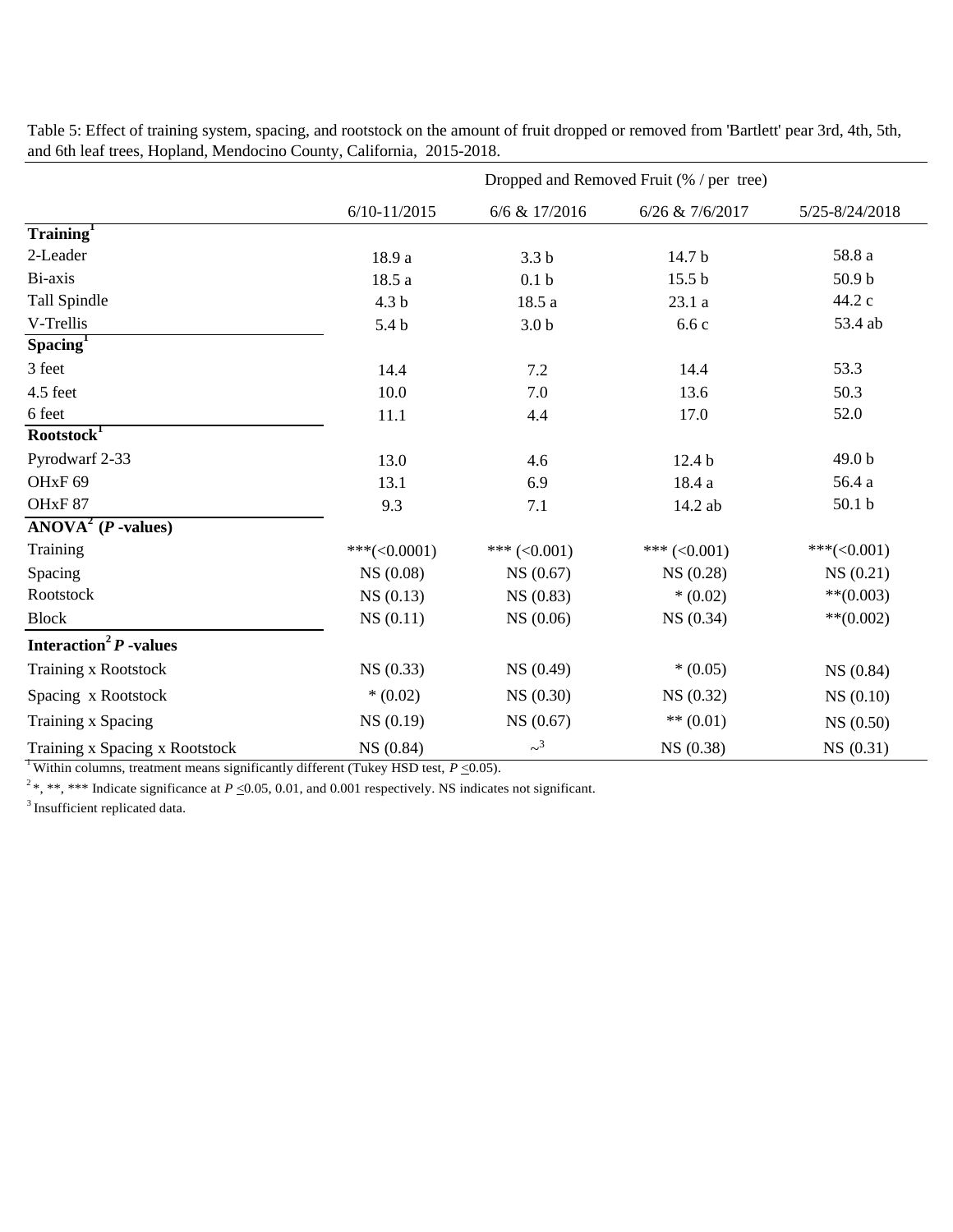|                                                    | Dropped and Removed Fruit (% / per tree) |                     |                   |                   |  |  |  |
|----------------------------------------------------|------------------------------------------|---------------------|-------------------|-------------------|--|--|--|
|                                                    | $6/10 - 11/2015$                         | 6/6 & 17/2016       | 6/26 & 7/6/2017   | 5/25-8/24/2018    |  |  |  |
| Training <sup>T</sup>                              |                                          |                     |                   |                   |  |  |  |
| 2-Leader                                           | 18.9 a                                   | 3.3 <sub>b</sub>    | 14.7 b            | 58.8 a            |  |  |  |
| Bi-axis                                            | 18.5 a                                   | 0.1 <sub>b</sub>    | 15.5 <sub>b</sub> | 50.9 <sub>b</sub> |  |  |  |
| Tall Spindle                                       | 4.3 <sub>b</sub>                         | 18.5 a              | 23.1 a            | 44.2 c            |  |  |  |
| V-Trellis                                          | 5.4 <sub>b</sub>                         | 3.0 <sub>b</sub>    | 6.6c              | 53.4 ab           |  |  |  |
| $S$ pacing $T$                                     |                                          |                     |                   |                   |  |  |  |
| 3 feet                                             | 14.4                                     | 7.2                 | 14.4              | 53.3              |  |  |  |
| 4.5 feet                                           | 10.0                                     | 7.0                 | 13.6              | 50.3              |  |  |  |
| 6 feet                                             | 11.1                                     | 4.4                 | 17.0              | 52.0              |  |  |  |
| Rootstock <sup>1</sup>                             |                                          |                     |                   |                   |  |  |  |
| Pyrodwarf 2-33                                     | 13.0                                     | 4.6                 | 12.4 <sub>b</sub> | 49.0 b            |  |  |  |
| OH <sub>xF</sub> 69                                | 13.1                                     | 6.9                 | 18.4 a            | 56.4 a            |  |  |  |
| OHxF87                                             | 9.3                                      | 7.1                 | 14.2 ab           | 50.1 <sub>b</sub> |  |  |  |
| $\overline{\text{ANOVA}^2(P \cdot \text{values})}$ |                                          |                     |                   |                   |  |  |  |
| Training                                           | $***(<0.0001)$                           | *** $(<0.001)$      | *** $(<0.001)$    | $***(<0.001)$     |  |  |  |
| Spacing                                            | NS(0.08)                                 | NS(0.67)            | NS(0.28)          | NS(0.21)          |  |  |  |
| Rootstock                                          | NS(0.13)                                 | NS(0.83)            | $*(0.02)$         | $**$ (0.003)      |  |  |  |
| <b>Block</b>                                       | NS(0.11)                                 | NS(0.06)            | NS(0.34)          | $**$ (0.002)      |  |  |  |
| Interaction <sup>2</sup> $P$ -values               |                                          |                     |                   |                   |  |  |  |
| Training x Rootstock                               | NS(0.33)                                 | NS(0.49)            | $*(0.05)$         | NS (0.84)         |  |  |  |
| Spacing x Rootstock                                | $*(0.02)$                                | NS(0.30)            | NS(0.32)          | NS(0.10)          |  |  |  |
| Training x Spacing                                 | NS(0.19)                                 | NS(0.67)            | $** (0.01)$       | NS(0.50)          |  |  |  |
| Training x Spacing x Rootstock                     | NS (0.84)                                | $\sim$ <sup>3</sup> | NS (0.38)         | NS (0.31)         |  |  |  |

Table 5: Effect of training system, spacing, and rootstock on the amount of fruit dropped or removed from 'Bartlett' pear 3rd, 4th, 5th, and 6th leaf trees, Hopland, Mendocino County, California, 2015-2018.

<sup>2</sup>\*, \*\*, \*\*\* Indicate significance at  $P \le 0.05$ , 0.01, and 0.001 respectively. NS indicates not significant.

<sup>3</sup> Insufficient replicated data.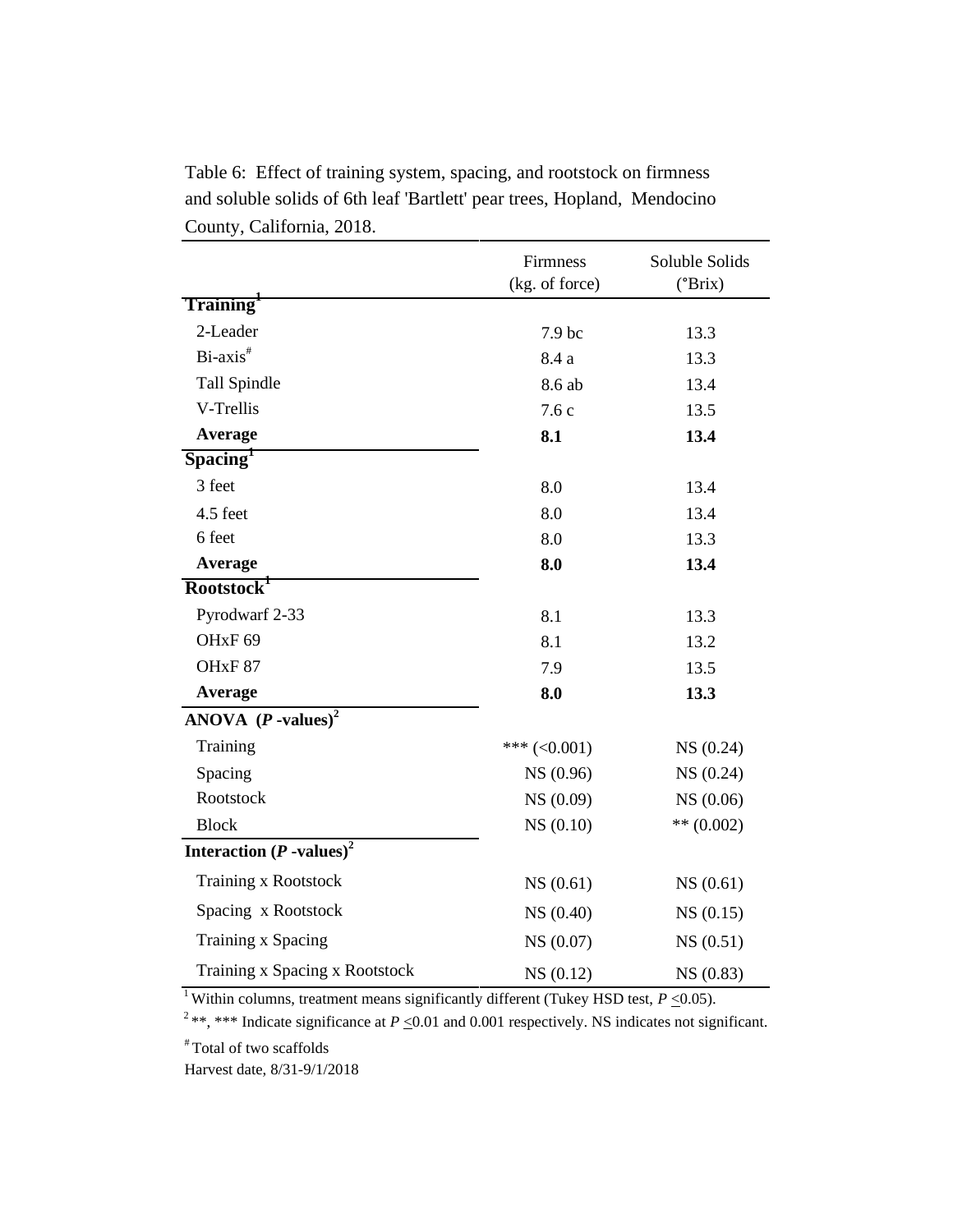| Table 6: Effect of training system, spacing, and rootstock on firmness   |
|--------------------------------------------------------------------------|
| and soluble solids of 6th leaf 'Bartlett' pear trees, Hopland, Mendocino |
| County, California, 2018.                                                |

|                                        | Firmness<br>(kg. of force) | Soluble Solids |
|----------------------------------------|----------------------------|----------------|
| Training <sup>1</sup>                  |                            | (°Brix)        |
| 2-Leader                               |                            |                |
|                                        | 7.9 bc                     | 13.3           |
| Bi-axis <sup>#</sup>                   | 8.4 a                      | 13.3           |
| Tall Spindle                           | 8.6 ab                     | 13.4           |
| V-Trellis                              | 7.6c                       | 13.5           |
| Average                                | 8.1                        | 13.4           |
| S <sub>pacing</sub>                    |                            |                |
| 3 feet                                 | 8.0                        | 13.4           |
| 4.5 feet                               | 8.0                        | 13.4           |
| 6 feet                                 | 8.0                        | 13.3           |
| Average                                | 8.0                        | 13.4           |
| Rootstock <sup>1</sup>                 |                            |                |
| Pyrodwarf 2-33                         | 8.1                        | 13.3           |
| OH <sub>xF</sub> 69                    | 8.1                        | 13.2           |
| OH <sub>xF</sub> 87                    | 7.9                        | 13.5           |
| Average                                | 8.0                        | 13.3           |
| ANOVA $(P$ -values) <sup>2</sup>       |                            |                |
| Training                               | *** $(<0.001)$             | NS(0.24)       |
| Spacing                                | NS (0.96)                  | NS (0.24)      |
| Rootstock                              | NS (0.09)                  | NS (0.06)      |
| <b>Block</b>                           | NS(0.10)                   | ** $(0.002)$   |
| Interaction $(P$ -values) <sup>2</sup> |                            |                |
| <b>Training x Rootstock</b>            | NS (0.61)                  | NS(0.61)       |
| Spacing x Rootstock                    | NS (0.40)                  | NS(0.15)       |
| Training x Spacing                     | NS (0.07)                  | NS(0.51)       |
| Training x Spacing x Rootstock         | NS(0.12)                   | NS (0.83)      |

<sup>2</sup>\*\*, \*\*\* Indicate significance at  $P \le 0.01$  and 0.001 respectively. NS indicates not significant.

# Total of two scaffolds

Harvest date, 8/31-9/1/2018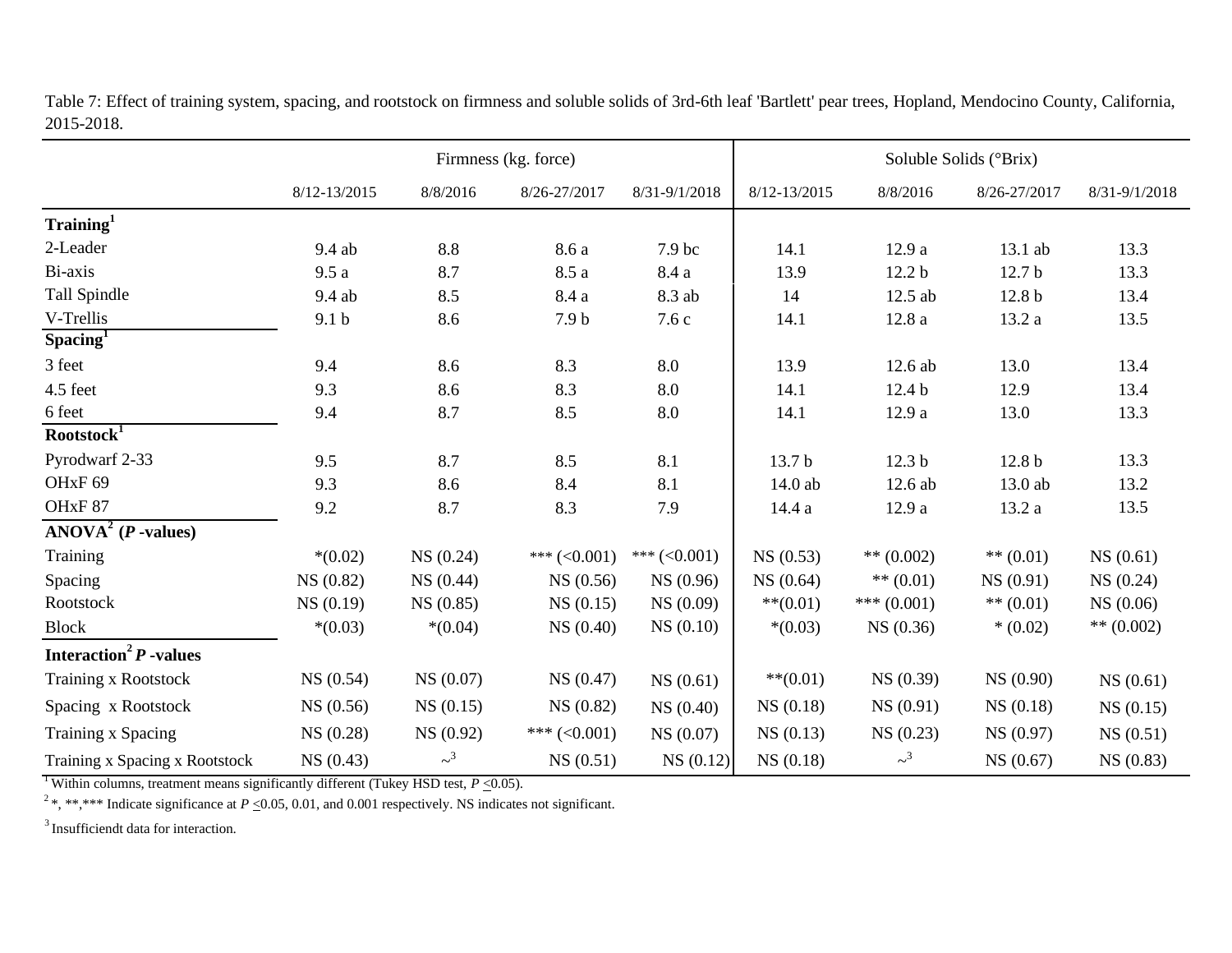|                                      |                  |                     | Firmness (kg. force) |                | Soluble Solids (°Brix) |                     |                   |               |
|--------------------------------------|------------------|---------------------|----------------------|----------------|------------------------|---------------------|-------------------|---------------|
|                                      | $8/12 - 13/2015$ | 8/8/2016            | 8/26-27/2017         | 8/31-9/1/2018  | 8/12-13/2015           | 8/8/2016            | 8/26-27/2017      | 8/31-9/1/2018 |
| $\mathrm{Training}^1$                |                  |                     |                      |                |                        |                     |                   |               |
| 2-Leader                             | 9.4 ab           | $8.8\,$             | 8.6a                 | 7.9 bc         | 14.1                   | 12.9 a              | 13.1 ab           | 13.3          |
| Bi-axis                              | 9.5a             | 8.7                 | 8.5a                 | 8.4 a          | 13.9                   | 12.2 <sub>b</sub>   | 12.7 <sub>b</sub> | 13.3          |
| Tall Spindle                         | 9.4 ab           | 8.5                 | 8.4 a                | 8.3 ab         | 14                     | 12.5 ab             | 12.8 <sub>b</sub> | 13.4          |
| V-Trellis                            | 9.1 <sub>b</sub> | 8.6                 | 7.9 <sub>b</sub>     | 7.6c           | 14.1                   | 12.8a               | 13.2 a            | 13.5          |
| $S$ pacing <sup>1</sup>              |                  |                     |                      |                |                        |                     |                   |               |
| 3 feet                               | 9.4              | 8.6                 | 8.3                  | 8.0            | 13.9                   | 12.6 ab             | 13.0              | 13.4          |
| 4.5 feet                             | 9.3              | 8.6                 | 8.3                  | 8.0            | 14.1                   | 12.4 <sub>b</sub>   | 12.9              | 13.4          |
| 6 feet                               | 9.4              | 8.7                 | 8.5                  | 8.0            | 14.1                   | 12.9a               | 13.0              | 13.3          |
| Rootstock <sup>T</sup>               |                  |                     |                      |                |                        |                     |                   |               |
| Pyrodwarf 2-33                       | 9.5              | 8.7                 | 8.5                  | 8.1            | 13.7 b                 | 12.3 <sub>b</sub>   | 12.8 <sub>b</sub> | 13.3          |
| OH <sub>xF</sub> 69                  | 9.3              | 8.6                 | 8.4                  | 8.1            | 14.0 ab                | 12.6 ab             | 13.0 ab           | 13.2          |
| OHxF87                               | 9.2              | 8.7                 | 8.3                  | 7.9            | 14.4 a                 | 12.9a               | 13.2 a            | 13.5          |
| $ANOVA2$ ( <i>P</i> -values)         |                  |                     |                      |                |                        |                     |                   |               |
| Training                             | $*(0.02)$        | NS(0.24)            | *** $(<0.001)$       | *** $(<0.001)$ | NS(0.53)               | ** $(0.002)$        | ** $(0.01)$       | NS(0.61)      |
| Spacing                              | NS (0.82)        | NS(0.44)            | NS (0.56)            | NS (0.96)      | NS(0.64)               | $** (0.01)$         | NS (0.91)         | NS(0.24)      |
| Rootstock                            | NS(0.19)         | NS(0.85)            | NS(0.15)             | NS(0.09)       | $***(0.01)$            | *** $(0.001)$       | ** $(0.01)$       | NS(0.06)      |
| <b>Block</b>                         | $*(0.03)$        | $*(0.04)$           | NS(0.40)             | NS(0.10)       | $*(0.03)$              | NS(0.36)            | $*(0.02)$         | ** $(0.002)$  |
| Interaction <sup>2</sup> $P$ -values |                  |                     |                      |                |                        |                     |                   |               |
| <b>Training x Rootstock</b>          | NS(0.54)         | NS(0.07)            | NS(0.47)             | NS(0.61)       | $***(0.01)$            | NS (0.39)           | NS(0.90)          | NS(0.61)      |
| Spacing x Rootstock                  | NS(0.56)         | NS(0.15)            | NS (0.82)            | NS(0.40)       | NS(0.18)               | NS(0.91)            | NS(0.18)          | NS(0.15)      |
| Training x Spacing                   | NS(0.28)         | NS (0.92)           | *** $(<0.001)$       | NS (0.07)      | NS(0.13)               | NS(0.23)            | NS (0.97)         | NS(0.51)      |
| Training x Spacing x Rootstock       | NS(0.43)         | $\sim$ <sup>3</sup> | NS(0.51)             | NS(0.12)       | NS(0.18)               | $\sim$ <sup>3</sup> | NS(0.67)          | NS(0.83)      |

Table 7: Effect of training system, spacing, and rootstock on firmness and soluble solids of 3rd-6th leaf 'Bartlett' pear trees, Hopland, Mendocino County, California, 2015-2018.

<sup>1</sup> Within columns, treatment means significantly different (Tukey HSD test,  $P \le 0.05$ ).

<sup>2</sup>\*, \*\*,\*\*\* Indicate significance at  $P \le 0.05$ , 0.01, and 0.001 respectively. NS indicates not significant.

<sup>3</sup> Insufficiendt data for interaction.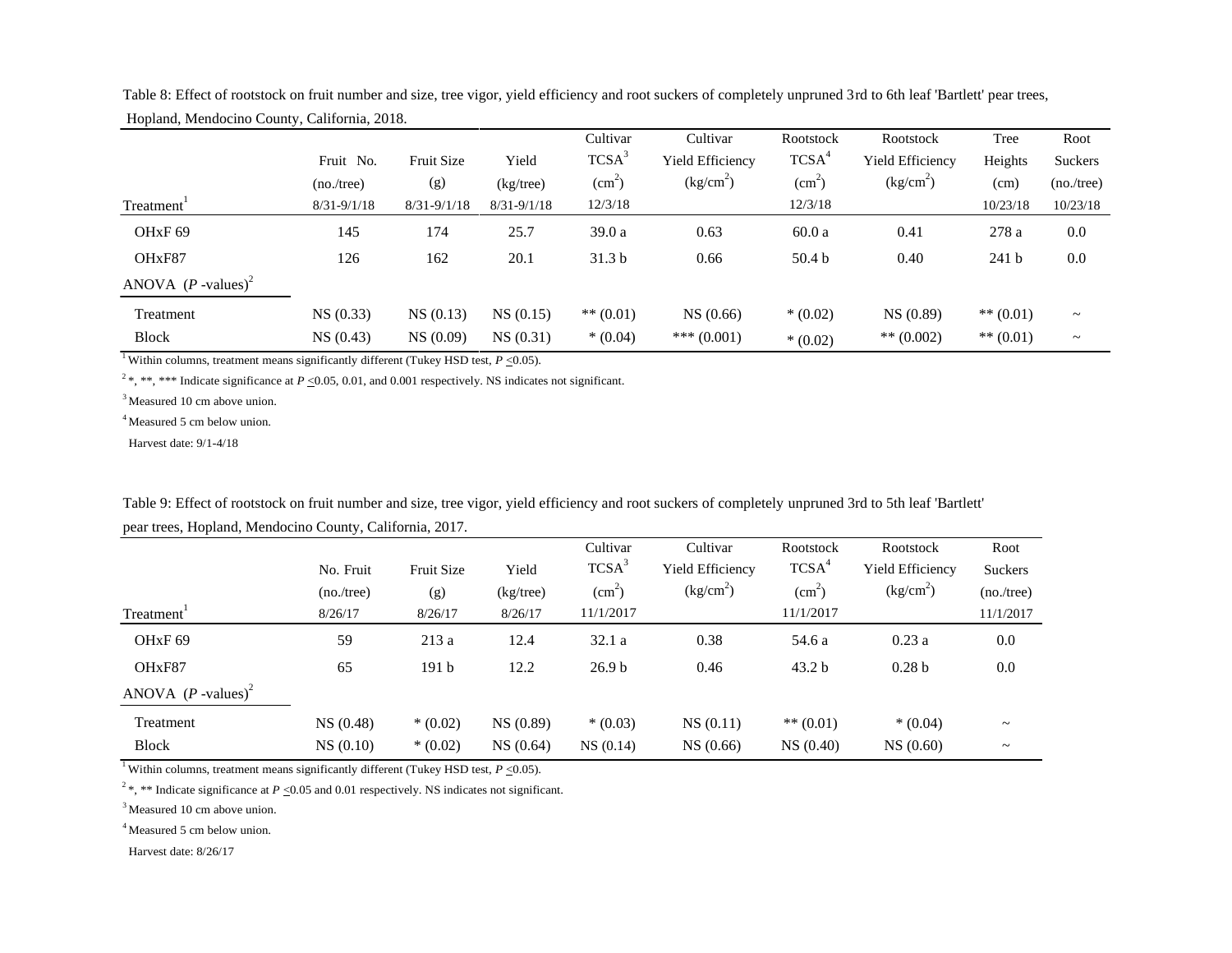|                                  |                 |                 |                 | Cultivar               | Cultivar              | Rootstock         | Rootstock               | Tree             | Root        |
|----------------------------------|-----------------|-----------------|-----------------|------------------------|-----------------------|-------------------|-------------------------|------------------|-------------|
|                                  | Fruit No.       | Fruit Size      | Yield           | TCSA <sup>3</sup>      | Yield Efficiency      | TCSA <sup>4</sup> | <b>Yield Efficiency</b> | Heights          | Suckers     |
|                                  | (no./tree)      | (g)             | $(kg$ /tree)    | $\text{(cm}^2\text{)}$ | (kg/cm <sup>2</sup> ) | $\text{cm}^2$ )   | (kg/cm <sup>2</sup> )   | (cm)             | (no./tree)  |
| Treatment <sup>*</sup>           | $8/31 - 9/1/18$ | $8/31 - 9/1/18$ | $8/31 - 9/1/18$ | 12/3/18                |                       | 12/3/18           |                         | 10/23/18         | 10/23/18    |
| OH <sub>xF</sub> 69              | 145             | 174             | 25.7            | 39.0a                  | 0.63                  | 60.0a             | 0.41                    | 278 a            | 0.0         |
| OHxF87                           | 126             | 162             | 20.1            | 31.3 <sub>b</sub>      | 0.66                  | 50.4 <sub>b</sub> | 0.40                    | 241 <sub>b</sub> | 0.0         |
| ANOVA $(P$ -values) <sup>2</sup> |                 |                 |                 |                        |                       |                   |                         |                  |             |
| Treatment                        | NS(0.33)        | NS(0.13)        | NS(0.15)        | $** (0.01)$            | NS(0.66)              | $*(0.02)$         | NS(0.89)                | $** (0.01)$      | $\thicksim$ |
| <b>Block</b>                     | NS(0.43)        | NS(0.09)        | NS(0.31)        | $*(0.04)$              | *** $(0.001)$         | $*(0.02)$         | ** $(0.002)$            | $** (0.01)$      | $\thicksim$ |

Table 8: Effect of rootstock on fruit number and size, tree vigor, yield efficiency and root suckers of completely unpruned 3rd to 6th leaf 'Bartlett' pear trees, Hopland, Mendocino County, California, 2018.

<sup>2</sup>\*, \*\*, \*\*\* Indicate significance at *P* <0.05, 0.01, and 0.001 respectively. NS indicates not significant.

<sup>3</sup> Measured 10 cm above union.

<sup>4</sup> Measured 5 cm below union.

Harvest date: 9/1-4/18

|                                  |            |                   |              | Cultivar           | Cultivar              | Rootstock         | Rootstock               | Root                  |
|----------------------------------|------------|-------------------|--------------|--------------------|-----------------------|-------------------|-------------------------|-----------------------|
|                                  | No. Fruit  | <b>Fruit Size</b> | Yield        | TCSA <sup>3</sup>  | Yield Efficiency      | TCSA <sup>4</sup> | <b>Yield Efficiency</b> | <b>Suckers</b>        |
|                                  | (no./tree) | (g)               | $(kg$ /tree) | (cm <sup>2</sup> ) | (kg/cm <sup>2</sup> ) | $\text{cm}^2$ )   | (kg/cm <sup>2</sup> )   | (no./tree)            |
| Treatment <sup>1</sup>           | 8/26/17    | 8/26/17           | 8/26/17      | 11/1/2017          |                       | 11/1/2017         |                         | 11/1/2017             |
| OH <sub>x</sub> F <sub>69</sub>  | 59         | 213a              | 12.4         | 32.1a              | 0.38                  | 54.6 a            | 0.23a                   | 0.0                   |
| OHxF87                           | 65         | 191 <sub>b</sub>  | 12.2         | 26.9 <sub>b</sub>  | 0.46                  | 43.2 <sub>b</sub> | 0.28 <sub>b</sub>       | 0.0                   |
| ANOVA $(P$ -values) <sup>2</sup> |            |                   |              |                    |                       |                   |                         |                       |
| Treatment                        | NS(0.48)   | $*(0.02)$         | NS (0.89)    | $*(0.03)$          | NS(0.11)              | $** (0.01)$       | $*(0.04)$               | $\tilde{\phantom{a}}$ |
| <b>Block</b>                     | NS(0.10)   | $*(0.02)$         | NS(0.64)     | NS(0.14)           | NS(0.66)              | NS(0.40)          | NS(0.60)                | $\thicksim$           |

Table 9: Effect of rootstock on fruit number and size, tree vigor, yield efficiency and root suckers of completely unpruned 3rd to 5th leaf 'Bartlett' pear trees, Hopland, Mendocino County, California, 2017.

<sup>1</sup>Within columns, treatment means significantly different (Tukey HSD test,  $P \le 0.05$ ).

<sup>2</sup>\*, \*\* Indicate significance at *P* <0.05 and 0.01 respectively. NS indicates not significant.

<sup>3</sup> Measured 10 cm above union.

<sup>4</sup> Measured 5 cm below union.

Harvest date: 8/26/17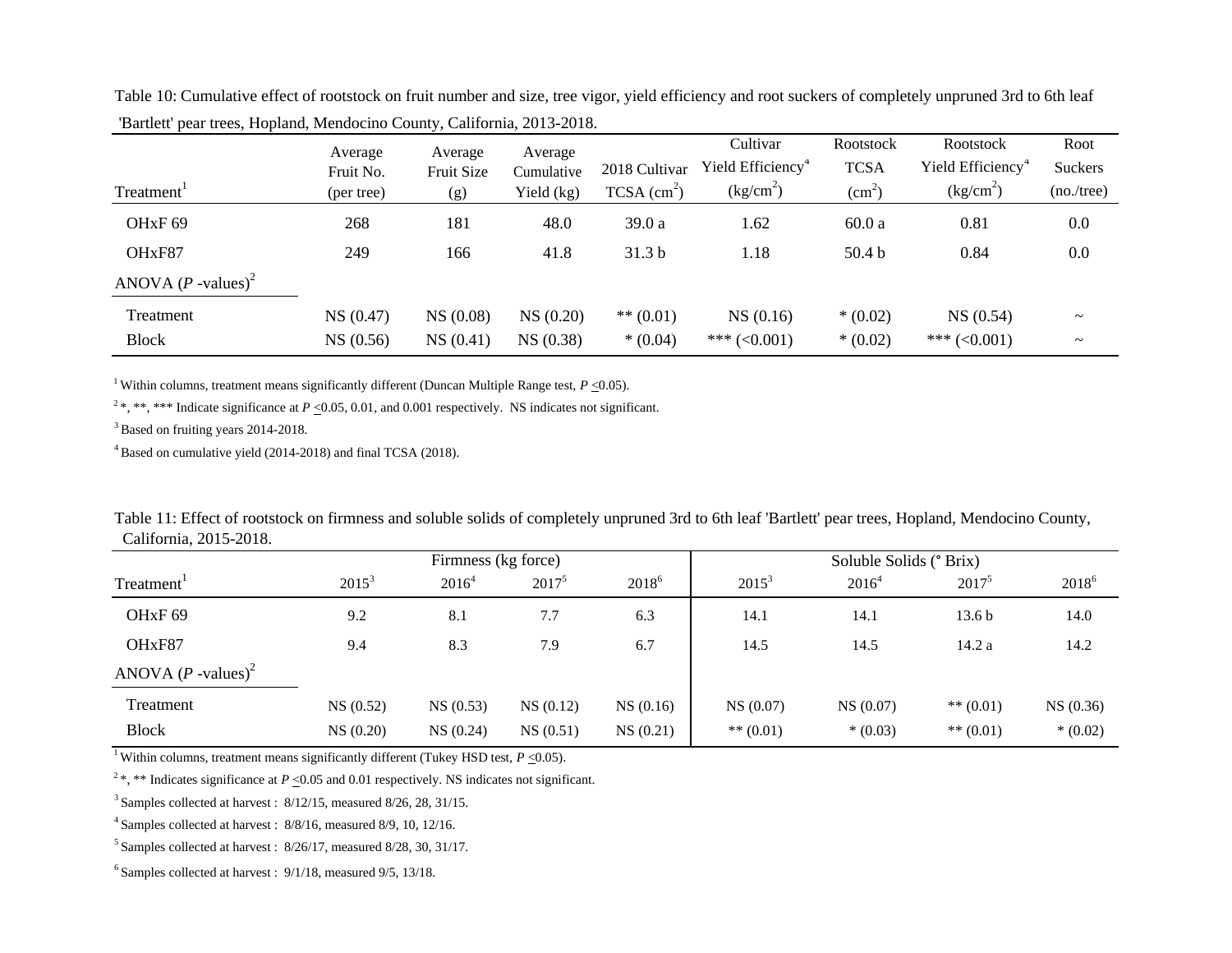|                                  | Average<br>Fruit No. | Average<br>Fruit Size | Average<br>Cumulative | 2018 Cultivar             | Cultivar<br>Yield Efficiency <sup>4</sup> | Rootstock<br><b>TCSA</b> | Rootstock<br>Yield Efficiency <sup>4</sup> | Root<br>Suckers       |
|----------------------------------|----------------------|-----------------------|-----------------------|---------------------------|-------------------------------------------|--------------------------|--------------------------------------------|-----------------------|
| Treatment <sup>1</sup>           | (per tree)           | (g)                   | Yield (kg)            | $TCSA$ (cm <sup>2</sup> ) | $(kg/cm^2)$                               | (cm <sup>2</sup> )       | (kg/cm <sup>2</sup> )                      | (no./tree)            |
| OH <sub>xF</sub> 69              | 268                  | 181                   | 48.0                  | 39.0 a                    | 1.62                                      | 60.0a                    | 0.81                                       | 0.0                   |
| OH <sub>xF87</sub>               | 249                  | 166                   | 41.8                  | 31.3 <sub>b</sub>         | 1.18                                      | 50.4 <sub>b</sub>        | 0.84                                       | 0.0                   |
| ANOVA $(P$ -values) <sup>2</sup> |                      |                       |                       |                           |                                           |                          |                                            |                       |
| Treatment                        | NS (0.47)            | NS (0.08)             | NS(0.20)              | $** (0.01)$               | NS(0.16)                                  | $*(0.02)$                | NS(0.54)                                   | $\tilde{\phantom{a}}$ |
| <b>Block</b>                     | NS (0.56)            | NS(0.41)              | NS(0.38)              | $*(0.04)$                 | *** $(<0.001)$                            | $*(0.02)$                | *** $(<0.001)$                             | $\tilde{\phantom{a}}$ |

Table 10: Cumulative effect of rootstock on fruit number and size, tree vigor, yield efficiency and root suckers of completely unpruned 3rd to 6th leaf 'Bartlett' pear trees, Hopland, Mendocino County, California, 2013-2018.

<sup>1</sup> Within columns, treatment means significantly different (Duncan Multiple Range test,  $P < 0.05$ ).

<sup>2</sup>\*, \*\*, \*\*\* Indicate significance at  $P < 0.05, 0.01$ , and 0.001 respectively. NS indicates not significant.

<sup>3</sup> Based on fruiting years 2014-2018.

<sup>4</sup>Based on cumulative yield (2014-2018) and final TCSA (2018).

| Table 11: Effect of rootstock on firmness and soluble solids of completely unpruned 3rd to 6th leaf 'Bartlett' pear trees, Hopland, Mendocino County, |  |
|-------------------------------------------------------------------------------------------------------------------------------------------------------|--|
| California, 2015-2018.                                                                                                                                |  |

|                                  | Firmness (kg force) |          |          |            | Soluble Solids (° Brix) |           |                   |            |
|----------------------------------|---------------------|----------|----------|------------|-------------------------|-----------|-------------------|------------|
| Treatment <sup>1</sup>           | $2015^3$            | $2016^4$ | $2017^5$ | $2018^{6}$ | $2015^3$                | $2016^4$  | $2017^5$          | $2018^{6}$ |
| OH <sub>xF</sub> 69              | 9.2                 | 8.1      | 7.7      | 6.3        | 14.1                    | 14.1      | 13.6 <sub>b</sub> | 14.0       |
| OHxF87                           | 9.4                 | 8.3      | 7.9      | 6.7        | 14.5                    | 14.5      | 14.2a             | 14.2       |
| ANOVA $(P$ -values) <sup>2</sup> |                     |          |          |            |                         |           |                   |            |
| Treatment                        | NS(0.52)            | NS(0.53) | NS(0.12) | NS(0.16)   | NS(0.07)                | NS(0.07)  | ** $(0.01)$       | NS(0.36)   |
| <b>Block</b>                     | NS(0.20)            | NS(0.24) | NS(0.51) | NS(0.21)   | $** (0.01)$             | $*(0.03)$ | ** $(0.01)$       | $*(0.02)$  |

<sup>1</sup> Within columns, treatment means significantly different (Tukey HSD test,  $P \le 0.05$ ).

<sup>2</sup>\*, \*\* Indicates significance at *P* <0.05 and 0.01 respectively. NS indicates not significant.

 $3$  Samples collected at harvest :  $8/12/15$ , measured  $8/26$ , 28, 31/15.

<sup>4</sup>Samples collected at harvest : 8/8/16, measured 8/9, 10, 12/16.

 $5$  Samples collected at harvest :  $8/26/17$ , measured  $8/28$ , 30, 31/17.

 $6$  Samples collected at harvest :  $9/1/18$ , measured  $9/5$ ,  $13/18$ .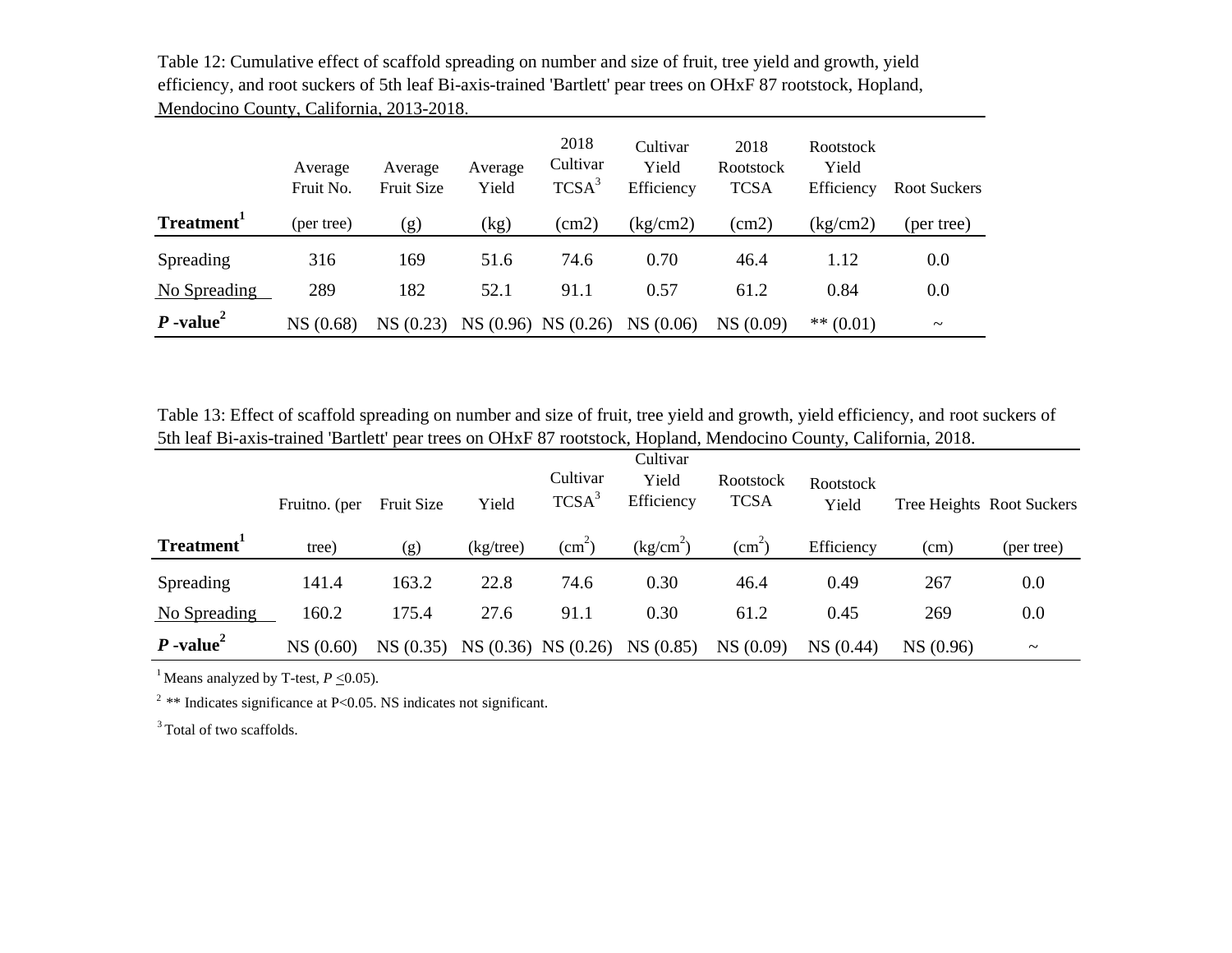|                         | Average<br>Fruit No. | Average<br><b>Fruit Size</b> | Average<br>Yield | 2018<br>Cultivar<br>TCSA <sup>3</sup> | Cultivar<br>Yield<br>Efficiency | 2018<br>Rootstock<br><b>TCSA</b> | Rootstock<br>Yield<br>Efficiency | Root Suckers          |
|-------------------------|----------------------|------------------------------|------------------|---------------------------------------|---------------------------------|----------------------------------|----------------------------------|-----------------------|
| Treatment <sup>1</sup>  | (per tree)           | (g)                          | (kg)             | (cm2)                                 | (kg/cm2)                        | (cm2)                            | (kg/cm2)                         | (per tree)            |
| Spreading               | 316                  | 169                          | 51.6             | 74.6                                  | 0.70                            | 46.4                             | 1.12                             | 0.0                   |
| No Spreading            | 289                  | 182                          | 52.1             | 91.1                                  | 0.57                            | 61.2                             | 0.84                             | 0.0                   |
| $P$ -value <sup>2</sup> | NS (0.68)            | NS(0.23)                     |                  | NS (0.96) NS (0.26)                   | NS(0.06)                        | NS(0.09)                         | $** (0.01)$                      | $\tilde{\phantom{m}}$ |

Table 12: Cumulative effect of scaffold spreading on number and size of fruit, tree yield and growth, yield efficiency, and root suckers of 5th leaf Bi-axis-trained 'Bartlett' pear trees on OHxF 87 rootstock, Hopland, Mendocino County, California, 2013-2018.

Table 13: Effect of scaffold spreading on number and size of fruit, tree yield and growth, yield efficiency, and root suckers of 5th leaf Bi-axis-trained 'Bartlett' pear trees on OHxF 87 rootstock, Hopland, Mendocino County, California, 2018.

|                         | Fruitno. (per | <b>Fruit Size</b> | Yield        | Cultivar<br>TCSA <sup>3</sup> | Cultivar<br>Yield<br>Efficiency | Rootstock<br><b>TCSA</b> | Rootstock<br>Yield |           | Tree Heights Root Suckers |
|-------------------------|---------------|-------------------|--------------|-------------------------------|---------------------------------|--------------------------|--------------------|-----------|---------------------------|
| Treatment <sup>1</sup>  | tree)         | (g)               | $(kg$ /tree) | (cm <sup>2</sup> )            | (kg/cm <sup>2</sup> )           | $\text{(cm}^2)$          | Efficiency         | (cm)      | (per tree)                |
| Spreading               | 141.4         | 163.2             | 22.8         | 74.6                          | 0.30                            | 46.4                     | 0.49               | 267       | 0.0                       |
| No Spreading            | 160.2         | 175.4             | 27.6         | 91.1                          | 0.30                            | 61.2                     | 0.45               | 269       | 0.0                       |
| $P$ -value <sup>2</sup> | NS(0.60)      | NS(0.35)          |              | $NS(0.36)$ NS $(0.26)$        | NS(0.85)                        | NS(0.09)                 | NS(0.44)           | NS (0.96) | $\tilde{\phantom{a}}$     |

<sup>1</sup> Means analyzed by T-test,  $P \le 0.05$ ).

<sup>2</sup>  $**$  Indicates significance at P<0.05. NS indicates not significant.

<sup>3</sup>Total of two scaffolds.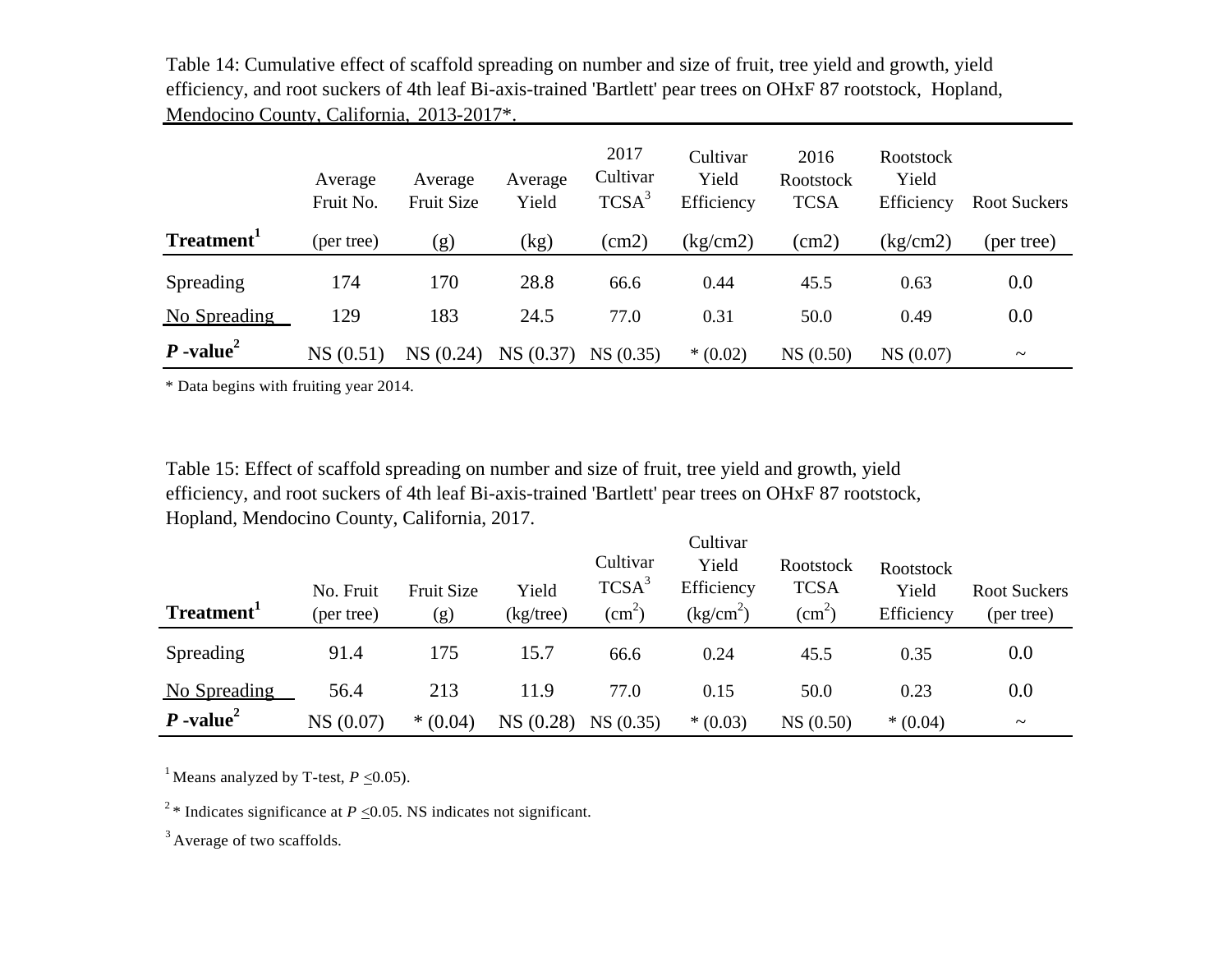Table 14: Cumulative effect of scaffold spreading on number and size of fruit, tree yield and growth, yield efficiency, and root suckers of 4th leaf Bi-axis-trained 'Bartlett' pear trees on OHxF 87 rootstock, Hopland, Mendocino County, California, 2013-2017\*.

|                         | Average<br>Fruit No. | Average<br><b>Fruit Size</b> | Average<br>Yield | 2017<br>Cultivar<br>TCSA <sup>3</sup> | Cultivar<br>Yield<br>Efficiency | 2016<br><b>Rootstock</b><br><b>TCSA</b> | Rootstock<br>Yield<br>Efficiency | <b>Root Suckers</b>   |
|-------------------------|----------------------|------------------------------|------------------|---------------------------------------|---------------------------------|-----------------------------------------|----------------------------------|-----------------------|
| Treatment <sup>1</sup>  | (per tree)           | (g)                          | (kg)             | (cm2)                                 | (kg/cm2)                        | (cm2)                                   | (kg/cm2)                         | (per tree)            |
| Spreading               | 174                  | 170                          | 28.8             | 66.6                                  | 0.44                            | 45.5                                    | 0.63                             | 0.0                   |
| No Spreading            | 129                  | 183                          | 24.5             | 77.0                                  | 0.31                            | 50.0                                    | 0.49                             | 0.0                   |
| $P$ -value <sup>2</sup> | NS(0.51)             | NS(0.24)                     | NS(0.37)         | NS(0.35)                              | $*(0.02)$                       | NS(0.50)                                | NS (0.07)                        | $\tilde{\phantom{a}}$ |

\* Data begins with fruiting year 2014.

Table 15: Effect of scaffold spreading on number and size of fruit, tree yield and growth, yield efficiency, and root suckers of 4th leaf Bi-axis-trained 'Bartlett' pear trees on OHxF 87 rootstock, Hopland, Mendocino County, California, 2017.

| Treatment <sup>1</sup>  | No. Fruit<br>(per tree) | <b>Fruit Size</b><br>(g) | Yield<br>$(kg$ /tree) | Cultivar<br>TCSA <sup>3</sup><br>$\text{(cm}^2)$ | Cultivar<br>Yield<br>Efficiency<br>$\frac{kg/cm^2}{}$ | <b>Rootstock</b><br><b>TCSA</b><br>$\text{(cm}^2)$ | Rootstock<br>Yield<br>Efficiency | <b>Root Suckers</b><br>(per tree) |
|-------------------------|-------------------------|--------------------------|-----------------------|--------------------------------------------------|-------------------------------------------------------|----------------------------------------------------|----------------------------------|-----------------------------------|
| Spreading               | 91.4                    | 175                      | 15.7                  | 66.6                                             | 0.24                                                  | 45.5                                               | 0.35                             | 0.0                               |
| No Spreading            | 56.4                    | 213                      | 11.9                  | 77.0                                             | 0.15                                                  | 50.0                                               | 0.23                             | 0.0                               |
| $P$ -value <sup>2</sup> | NS (0.07)               | $*(0.04)$                | NS(0.28)              | NS(0.35)                                         | $*(0.03)$                                             | NS(0.50)                                           | $*(0.04)$                        | $\tilde{\phantom{a}}$             |

<sup>1</sup> Means analyzed by T-test,  $P < 0.05$ ).

<sup>2</sup> \* Indicates significance at *P* < 0.05. NS indicates not significant.

<sup>3</sup> Average of two scaffolds.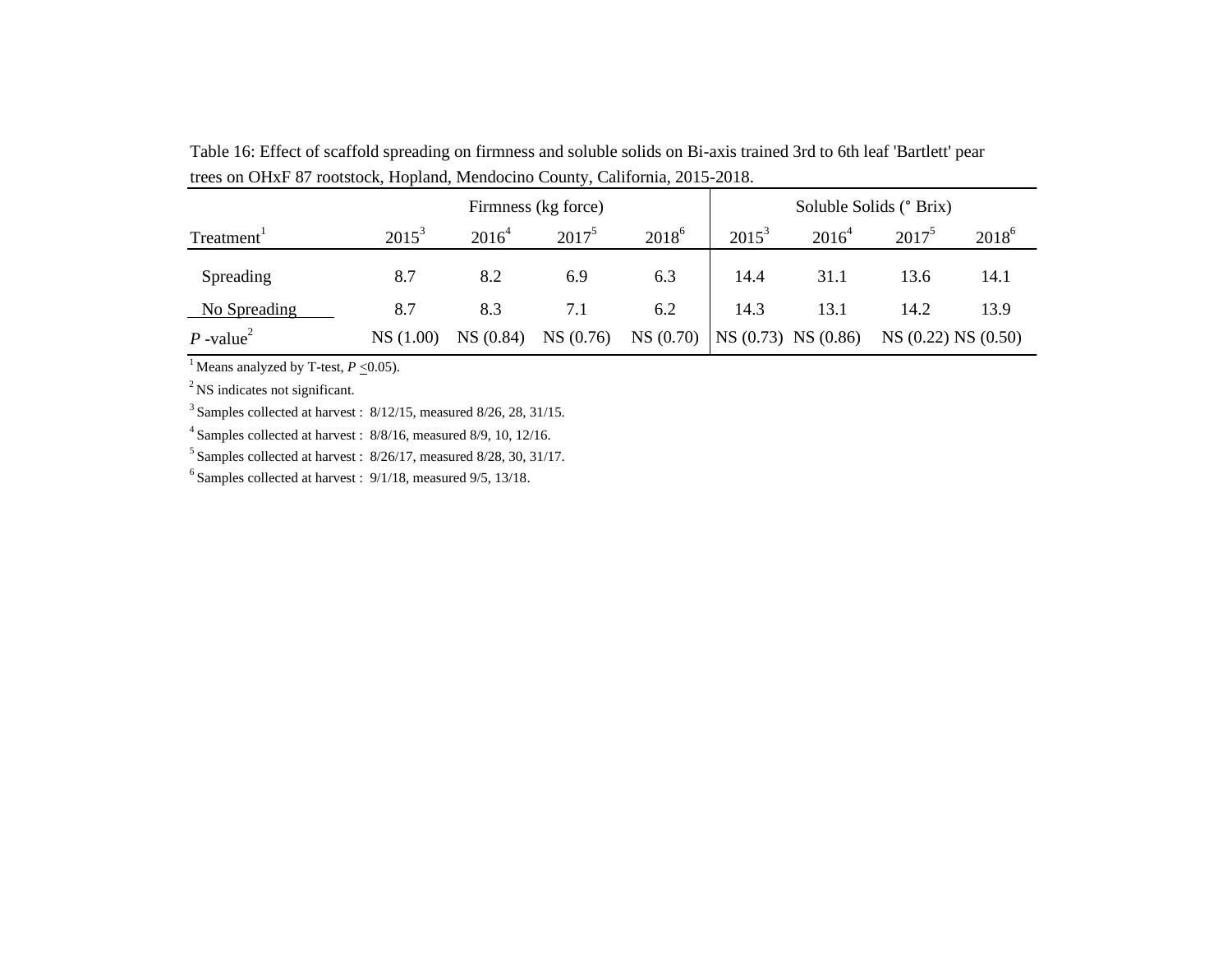| $\mu$ and $\sigma$ and $\sigma$ are the property interference of $\mu$ , $\sigma$ and $\mu$ , $\sigma$ and $\sigma$ and $\sigma$ . |          |                         |          |                                     |          |          |                   |          |  |  |  |
|------------------------------------------------------------------------------------------------------------------------------------|----------|-------------------------|----------|-------------------------------------|----------|----------|-------------------|----------|--|--|--|
|                                                                                                                                    |          | Soluble Solids (° Brix) |          |                                     |          |          |                   |          |  |  |  |
| Treatment <sup>1</sup>                                                                                                             | $2015^3$ | $2016^4$                | $2017^5$ | $2018^{6}$                          | $2015^3$ | $2016^4$ | $2017^5$          | $2018^6$ |  |  |  |
| Spreading                                                                                                                          | 8.7      | 8.2                     | 6.9      | 6.3                                 | 14.4     | 31.1     | 13.6              | 14.1     |  |  |  |
| No Spreading                                                                                                                       | 8.7      | 8.3                     | 7.1      | 6.2                                 | 14.3     | 13.1     | 14.2              | 13.9     |  |  |  |
| $P$ -value <sup>2</sup>                                                                                                            | NS(1.00) | NS(0.84)                | NS(0.76) | NS $(0.70)$ NS $(0.73)$ NS $(0.86)$ |          |          | NS(0.22) NS(0.50) |          |  |  |  |

Table 16: Effect of scaffold spreading on firmness and soluble solids on Bi-axis trained 3rd to 6th leaf 'Bartlett' pear trees on OHxF 87 rootstock, Hopland, Mendocino County, California, 2015-2018.

<sup>1</sup> Means analyzed by T-test,  $P \le 0.05$ ).

<sup>2</sup> NS indicates not significant.

 $3$  Samples collected at harvest :  $8/12/15$ , measured  $8/26$ ,  $28$ ,  $31/15$ .

<sup>4</sup>Samples collected at harvest : 8/8/16, measured 8/9, 10, 12/16.

 $<sup>5</sup>$  Samples collected at harvest : 8/26/17, measured 8/28, 30, 31/17.</sup>

 $6$  Samples collected at harvest :  $9/1/18$ , measured  $9/5$ ,  $13/18$ .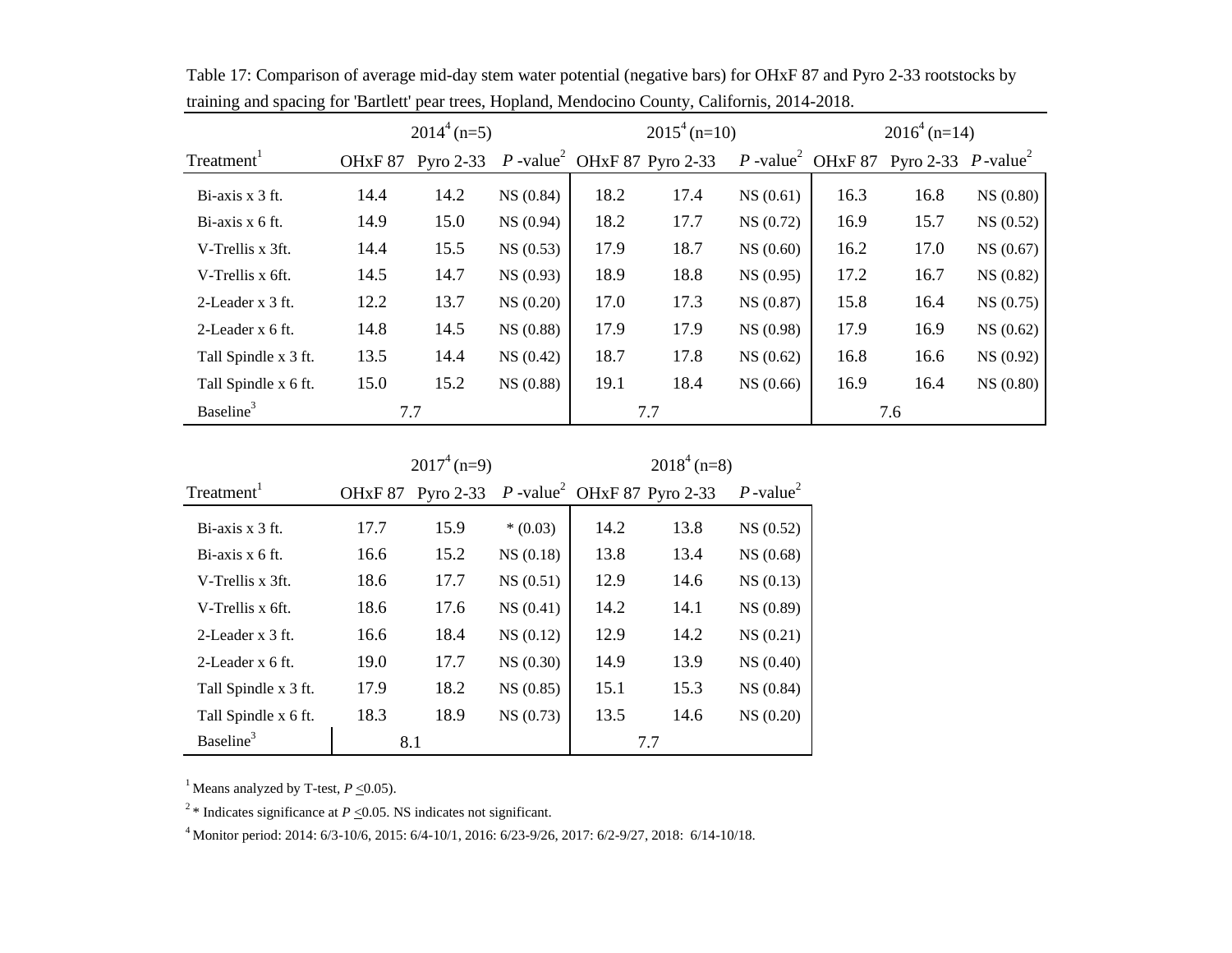|                        | $2014^4$ (n=5)      |             |           |      | $2015^4$ (n=10)                         |           | $2016^4$ (n=14)               |                                   |           |
|------------------------|---------------------|-------------|-----------|------|-----------------------------------------|-----------|-------------------------------|-----------------------------------|-----------|
| Treatment <sup>1</sup> | OH <sub>xF</sub> 87 | Pyro $2-33$ |           |      | P -value <sup>2</sup> OHxF 87 Pyro 2-33 |           | P -value <sup>2</sup> OHxF 87 | Pyro 2-33 $P$ -value <sup>2</sup> |           |
| Bi-axis x 3 ft.        | 14.4                | 14.2        | NS(0.84)  | 18.2 | 17.4                                    | NS(0.61)  | 16.3                          | 16.8                              | NS(0.80)  |
| $Bi-axis x 6 ft.$      | 14.9                | 15.0        | NS (0.94) | 18.2 | 17.7                                    | NS(0.72)  | 16.9                          | 15.7                              | NS(0.52)  |
| V-Trellis x 3ft.       | 14.4                | 15.5        | NS(0.53)  | 17.9 | 18.7                                    | NS(0.60)  | 16.2                          | 17.0                              | NS(0.67)  |
| V-Trellis x 6ft.       | 14.5                | 14.7        | NS(0.93)  | 18.9 | 18.8                                    | NS(0.95)  | 17.2                          | 16.7                              | NS(0.82)  |
| 2-Leader x 3 ft.       | 12.2                | 13.7        | NS(0.20)  | 17.0 | 17.3                                    | NS(0.87)  | 15.8                          | 16.4                              | NS(0.75)  |
| 2-Leader x 6 ft.       | 14.8                | 14.5        | NS (0.88) | 17.9 | 17.9                                    | NS (0.98) | 17.9                          | 16.9                              | NS(0.62)  |
| Tall Spindle x 3 ft.   | 13.5                | 14.4        | NS(0.42)  | 18.7 | 17.8                                    | NS(0.62)  | 16.8                          | 16.6                              | NS(0.92)  |
| Tall Spindle x 6 ft.   | 15.0                | 15.2        | NS (0.88) | 19.1 | 18.4                                    | NS(0.66)  | 16.9                          | 16.4                              | NS (0.80) |
| Baseline <sup>3</sup>  | 7.7                 |             |           |      | 7.7                                     |           |                               | 7.6                               |           |

Table 17: Comparison of average mid-day stem water potential (negative bars) for OHxF 87 and Pyro 2-33 rootstocks by training and spacing for 'Bartlett' pear trees, Hopland, Mendocino County, Californis, 2014-2018.

|                        |                     | $2017^4$ (n=9)                                      |           | $2018^4$ (n=8) |      |                         |  |
|------------------------|---------------------|-----------------------------------------------------|-----------|----------------|------|-------------------------|--|
| Treatment <sup>1</sup> | OH <sub>xF</sub> 87 | Pyro 2-33 $P$ -value <sup>2</sup> OHxF 87 Pyro 2-33 |           |                |      | $P$ -value <sup>2</sup> |  |
| Bi-axis x 3 ft.        | 17.7                | 15.9                                                | $*(0.03)$ | 14.2           | 13.8 | NS(0.52)                |  |
| $Bi-axis x 6 ft.$      | 16.6                | 15.2                                                | NS(0.18)  | 13.8           | 13.4 | NS(0.68)                |  |
| V-Trellis x 3ft.       | 18.6                | 17.7                                                | NS(0.51)  | 12.9           | 14.6 | NS(0.13)                |  |
| V-Trellis x 6ft.       | 18.6                | 17.6                                                | NS(0.41)  | 14.2           | 14.1 | NS (0.89)               |  |
| 2-Leader x 3 ft.       | 16.6                | 18.4                                                | NS(0.12)  | 12.9           | 14.2 | NS(0.21)                |  |
| 2-Leader x 6 ft.       | 19.0                | 17.7                                                | NS(0.30)  | 14.9           | 13.9 | NS (0.40)               |  |
| Tall Spindle x 3 ft.   | 17.9                | 18.2                                                | NS(0.85)  | 15.1           | 15.3 | NS(0.84)                |  |
| Tall Spindle x 6 ft.   | 18.3                | 18.9                                                | NS(0.73)  | 13.5           | 14.6 | NS(0.20)                |  |
| Baseline <sup>3</sup>  |                     | 8.1                                                 |           |                | 7.7  |                         |  |

<sup>1</sup> Means analyzed by T-test,  $P \le 0.05$ ).

<sup>2</sup> \* Indicates significance at *P*  $\leq$  0.05. NS indicates not significant.

<sup>4</sup>Monitor period: 2014: 6/3-10/6, 2015: 6/4-10/1, 2016: 6/23-9/26, 2017: 6/2-9/27, 2018: 6/14-10/18.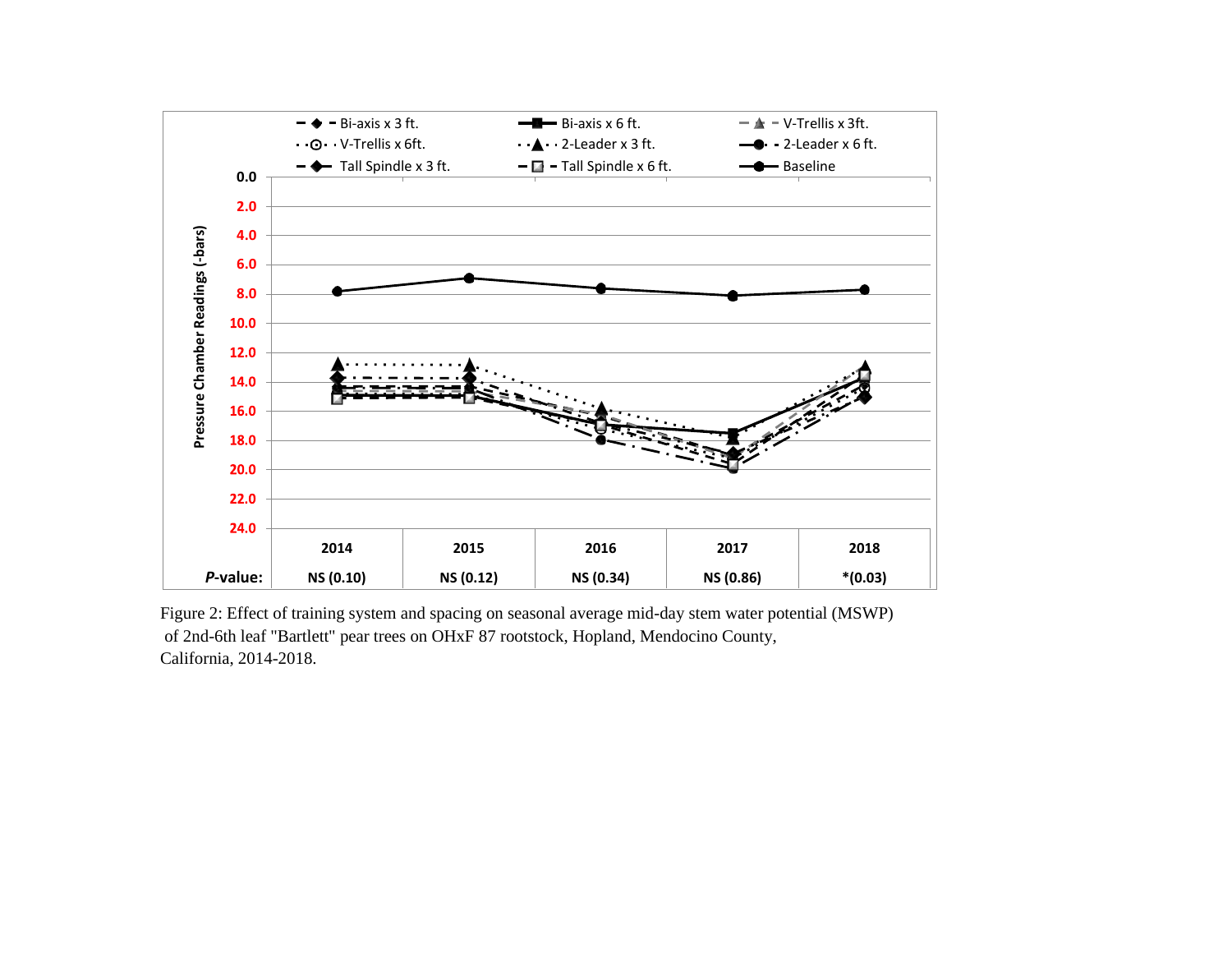

Figure 2: Effect of training system and spacing on seasonal average mid-day stem water potential (MSWP) of 2nd-6th leaf "Bartlett" pear trees on OHxF 87 rootstock, Hopland, Mendocino County, California, 2014-2018.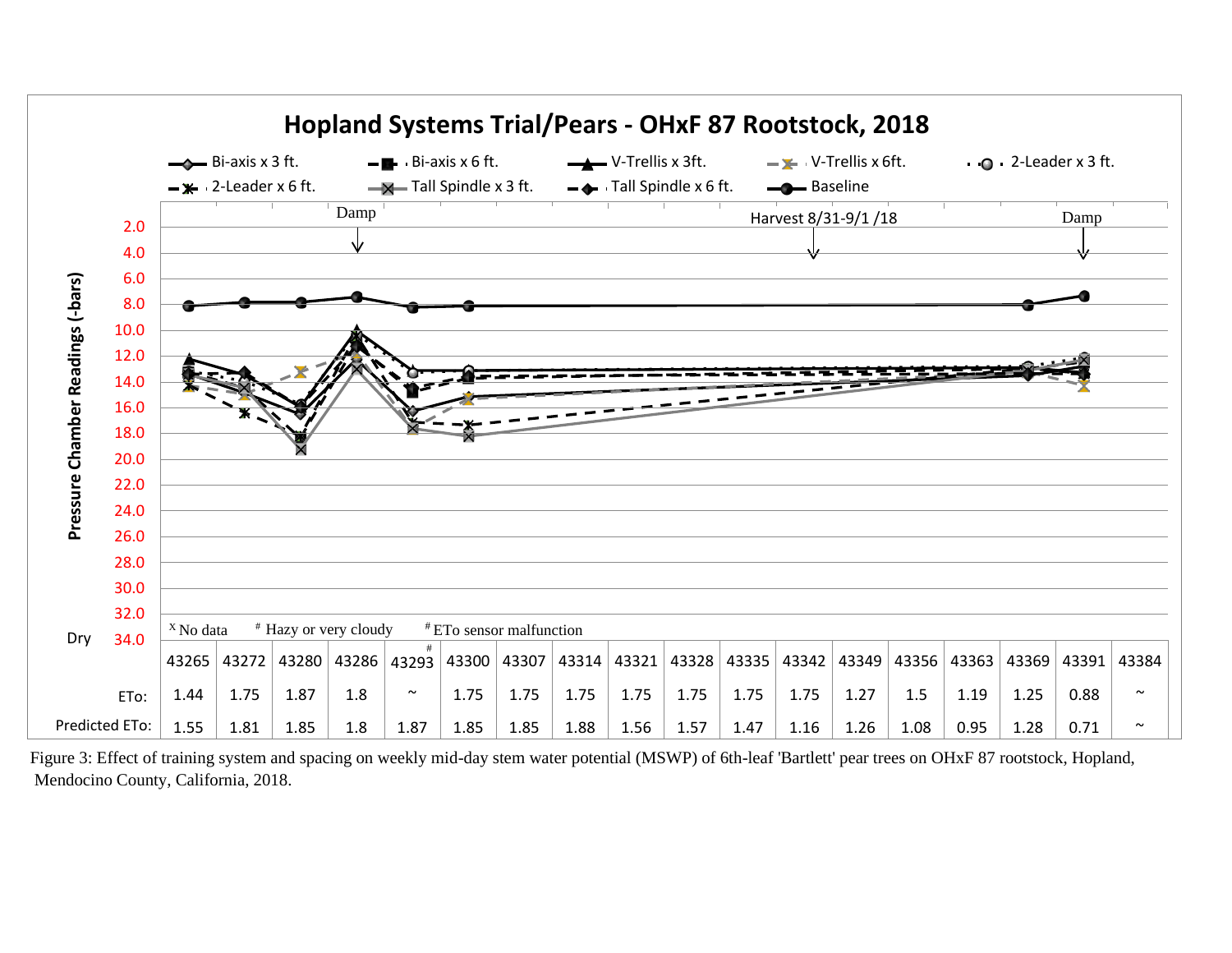

Figure 3: Effect of training system and spacing on weekly mid-day stem water potential (MSWP) of 6th-leaf 'Bartlett' pear trees on OHxF 87 rootstock, Hopland, Mendocino County, California, 2018.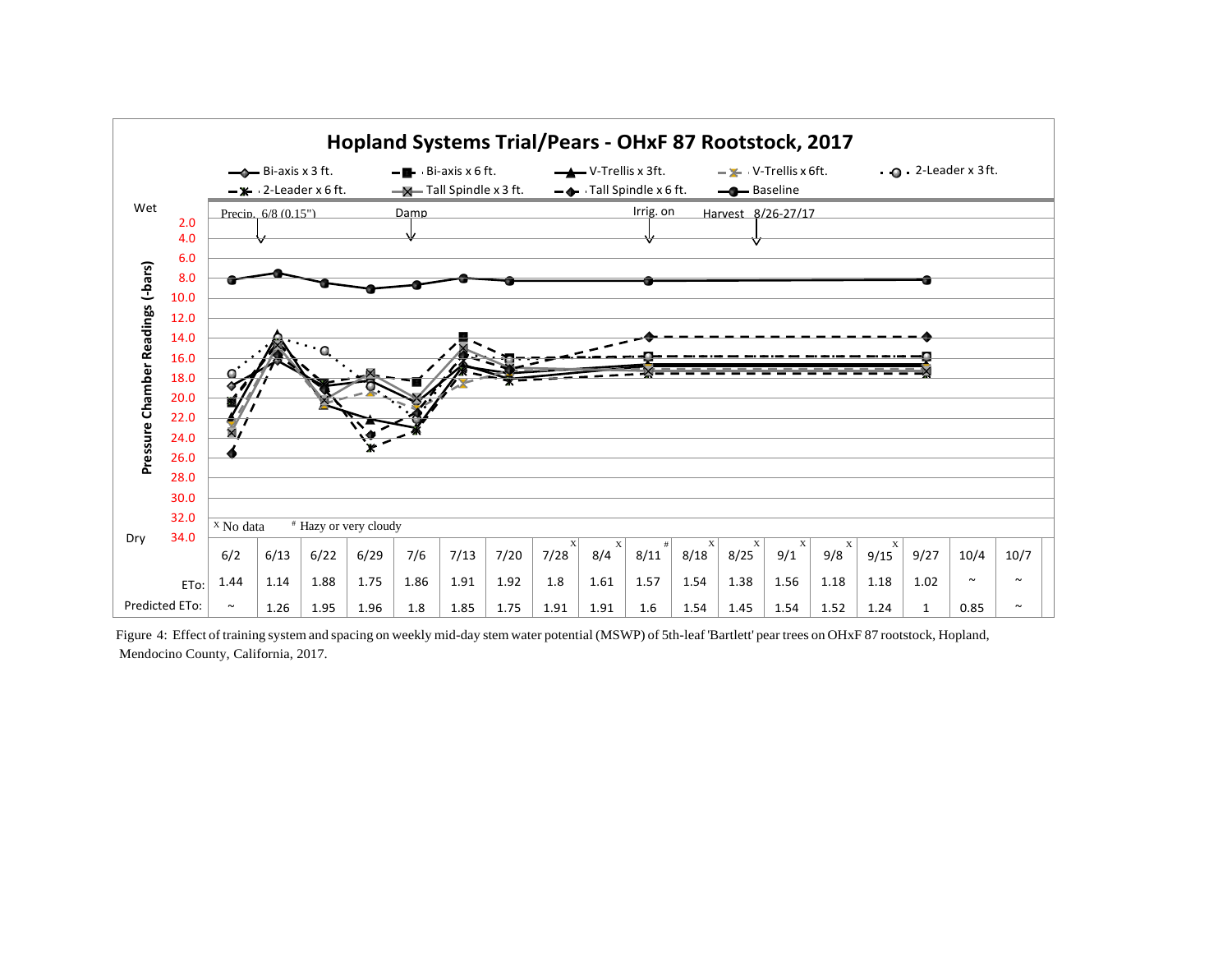

Figure 4: Effect of training system and spacing on weekly mid-day stem water potential (MSWP) of 5th-leaf 'Bartlett' pear trees on OHxF 87 rootstock, Hopland, Mendocino County, California, 2017.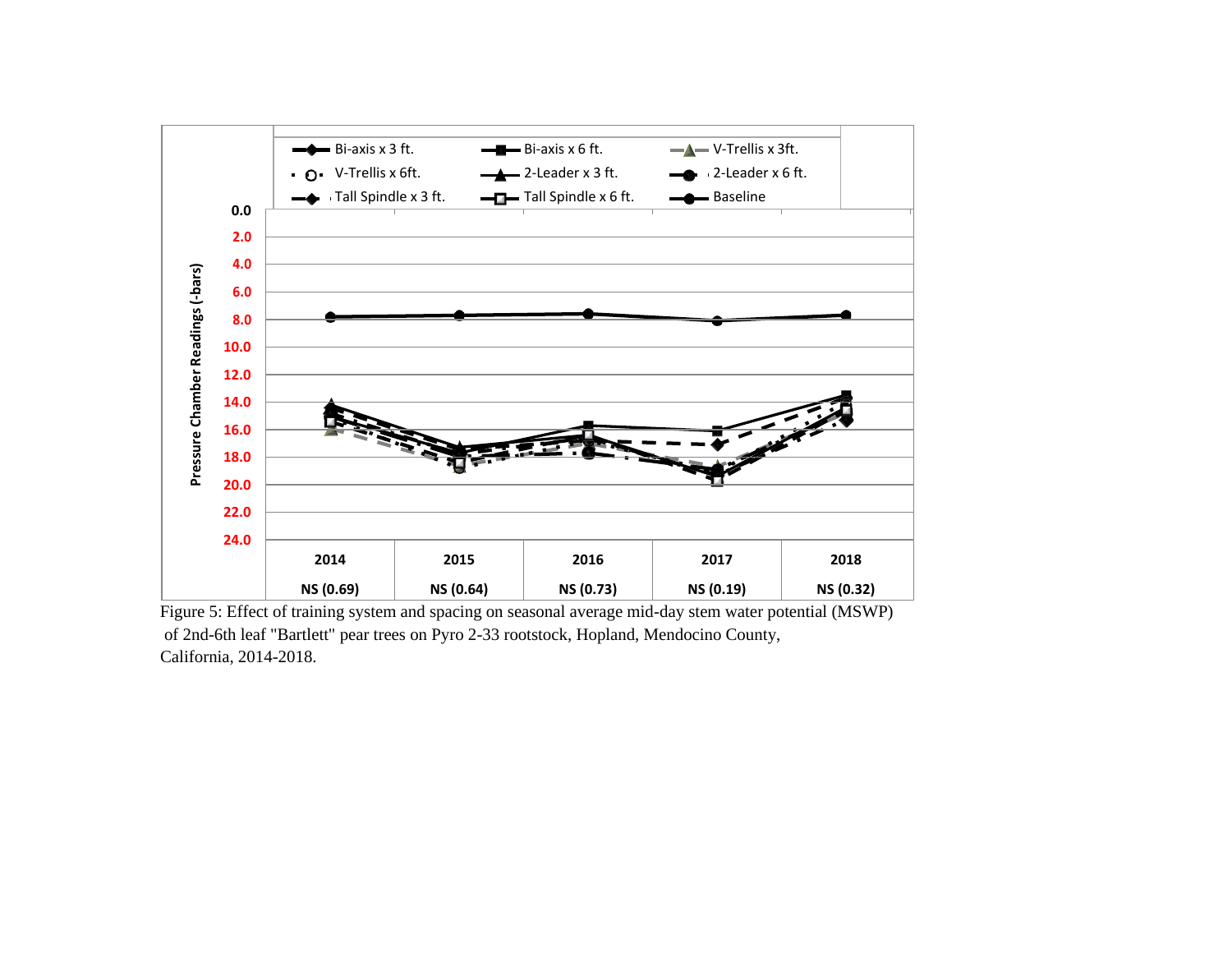

Figure 5: Effect of training system and spacing on seasonal average mid-day stem water potential (MSWP) of 2nd-6th leaf "Bartlett" pear trees on Pyro 2-33 rootstock, Hopland, Mendocino County, California, 2014-2018.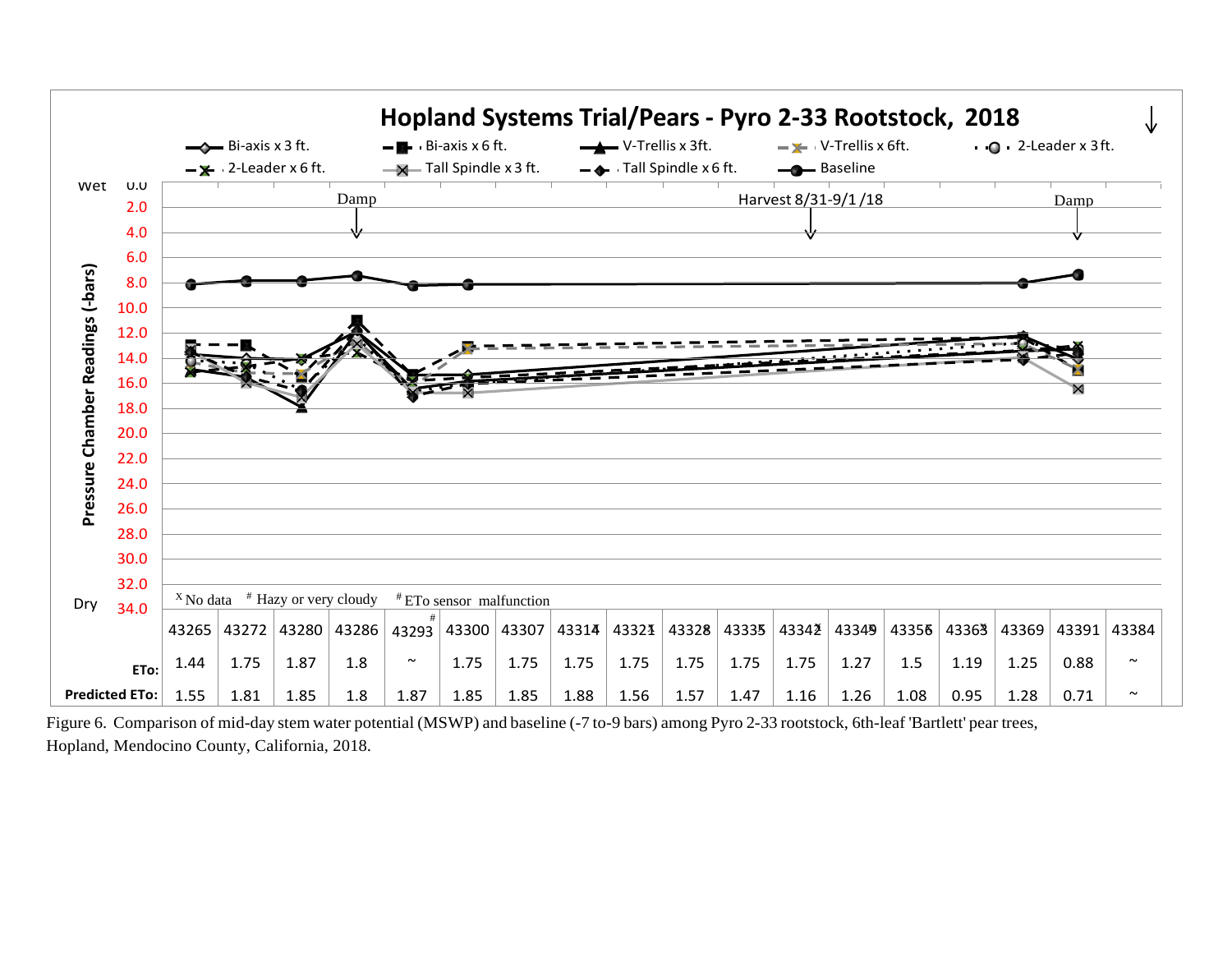

Figure 6. Comparison of mid-day stem water potential (MSWP) and baseline (-7 to-9 bars) among Pyro 2-33 rootstock, 6th-leaf 'Bartlett' pear trees, Hopland, Mendocino County, California, 2018.